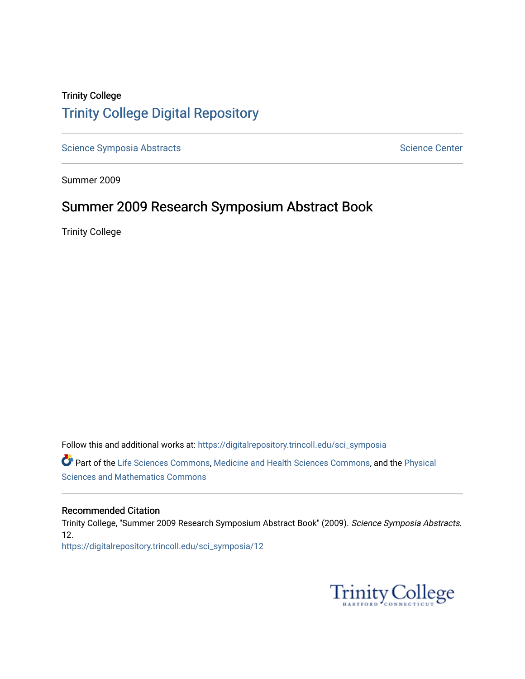## Trinity College [Trinity College Digital Repository](https://digitalrepository.trincoll.edu/)

[Science Symposia Abstracts](https://digitalrepository.trincoll.edu/sci_symposia) **Science Center** Science Center

Summer 2009

## Summer 2009 Research Symposium Abstract Book

Trinity College

Follow this and additional works at: [https://digitalrepository.trincoll.edu/sci\\_symposia](https://digitalrepository.trincoll.edu/sci_symposia?utm_source=digitalrepository.trincoll.edu%2Fsci_symposia%2F12&utm_medium=PDF&utm_campaign=PDFCoverPages)  Part of the [Life Sciences Commons,](http://network.bepress.com/hgg/discipline/1016?utm_source=digitalrepository.trincoll.edu%2Fsci_symposia%2F12&utm_medium=PDF&utm_campaign=PDFCoverPages) [Medicine and Health Sciences Commons,](http://network.bepress.com/hgg/discipline/648?utm_source=digitalrepository.trincoll.edu%2Fsci_symposia%2F12&utm_medium=PDF&utm_campaign=PDFCoverPages) and the [Physical](http://network.bepress.com/hgg/discipline/114?utm_source=digitalrepository.trincoll.edu%2Fsci_symposia%2F12&utm_medium=PDF&utm_campaign=PDFCoverPages)  [Sciences and Mathematics Commons](http://network.bepress.com/hgg/discipline/114?utm_source=digitalrepository.trincoll.edu%2Fsci_symposia%2F12&utm_medium=PDF&utm_campaign=PDFCoverPages) 

#### Recommended Citation

Trinity College, "Summer 2009 Research Symposium Abstract Book" (2009). Science Symposia Abstracts. 12. [https://digitalrepository.trincoll.edu/sci\\_symposia/12](https://digitalrepository.trincoll.edu/sci_symposia/12?utm_source=digitalrepository.trincoll.edu%2Fsci_symposia%2F12&utm_medium=PDF&utm_campaign=PDFCoverPages) 

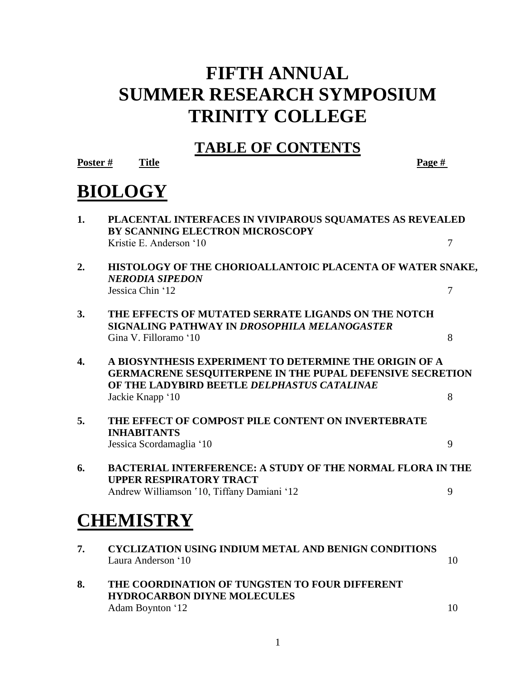## **FIFTH ANNUAL SUMMER RESEARCH SYMPOSIUM TRINITY COLLEGE**

## **TABLE OF CONTENTS**

**Poster # Title Page # BIOLOGY 1. PLACENTAL INTERFACES IN VIVIPAROUS SQUAMATES AS REVEALED BY SCANNING ELECTRON MICROSCOPY** Kristie E. Anderson '10  $\overline{7}$ **2. HISTOLOGY OF THE CHORIOALLANTOIC PLACENTA OF WATER SNAKE,**  *NERODIA SIPEDON* Jessica Chin '12 7 **3. THE EFFECTS OF MUTATED SERRATE LIGANDS ON THE NOTCH SIGNALING PATHWAY IN** *DROSOPHILA MELANOGASTER* Gina V. Filloramo '10 8 **4. A BIOSYNTHESIS EXPERIMENT TO DETERMINE THE ORIGIN OF A GERMACRENE SESQUITERPENE IN THE PUPAL DEFENSIVE SECRETION OF THE LADYBIRD BEETLE** *DELPHASTUS CATALINAE* Jackie Knapp '10 8 **5. THE EFFECT OF COMPOST PILE CONTENT ON INVERTEBRATE INHABITANTS**  Jessica Scordamaglia '10 9 **6. BACTERIAL INTERFERENCE: A STUDY OF THE NORMAL FLORA IN THE UPPER RESPIRATORY TRACT** Andrew Williamson '10, Tiffany Damiani '12 9 **CHEMISTRY 7. CYCLIZATION USING INDIUM METAL AND BENIGN CONDITIONS** Laura Anderson '10 10

**8. THE COORDINATION OF TUNGSTEN TO FOUR DIFFERENT HYDROCARBON DIYNE MOLECULES** Adam Boynton '12 10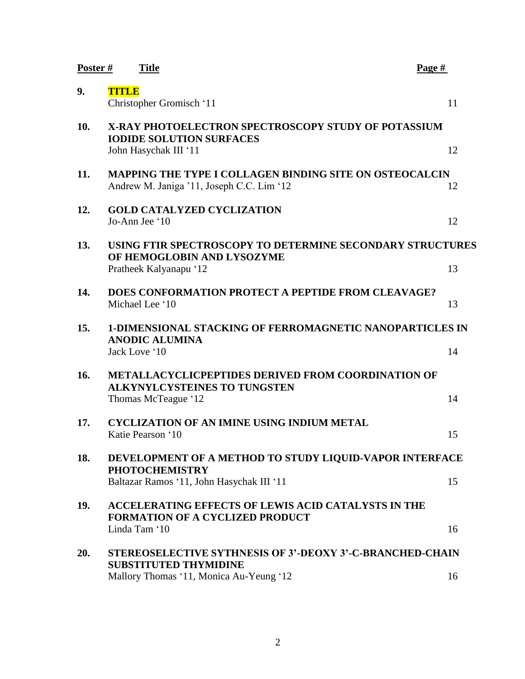| Poster # | <b>Title</b>                                                                                                | Page # |
|----------|-------------------------------------------------------------------------------------------------------------|--------|
| 9.       | <b>TITLE</b><br>Christopher Gromisch '11                                                                    | 11     |
| 10.      | <b>X-RAY PHOTOELECTRON SPECTROSCOPY STUDY OF POTASSIUM</b><br><b>IODIDE SOLUTION SURFACES</b>               |        |
|          | John Hasychak III '11                                                                                       | 12     |
| 11.      | <b>MAPPING THE TYPE I COLLAGEN BINDING SITE ON OSTEOCALCIN</b><br>Andrew M. Janiga '11, Joseph C.C. Lim '12 | 12     |
| 12.      | <b>GOLD CATALYZED CYCLIZATION</b><br>Jo-Ann Jee '10                                                         | 12     |
| 13.      | USING FTIR SPECTROSCOPY TO DETERMINE SECONDARY STRUCTURES<br>OF HEMOGLOBIN AND LYSOZYME                     |        |
|          | Pratheek Kalyanapu '12                                                                                      | 13     |
| 14.      | <b>DOES CONFORMATION PROTECT A PEPTIDE FROM CLEAVAGE?</b><br>Michael Lee '10                                | 13     |
| 15.      | <b>1-DIMENSIONAL STACKING OF FERROMAGNETIC NANOPARTICLES IN</b><br><b>ANODIC ALUMINA</b>                    |        |
|          | Jack Love '10                                                                                               | 14     |
| 16.      | <b>METALLACYCLICPEPTIDES DERIVED FROM COORDINATION OF</b><br><b>ALKYNYLCYSTEINES TO TUNGSTEN</b>            |        |
|          | Thomas McTeague '12                                                                                         | 14     |
| 17.      | <b>CYCLIZATION OF AN IMINE USING INDIUM METAL</b><br>Katie Pearson '10                                      | 15     |
| 18.      | DEVELOPMENT OF A METHOD TO STUDY LIQUID-VAPOR INTERFACE<br><b>PHOTOCHEMISTRY</b>                            |        |
|          | Baltazar Ramos '11, John Hasychak III '11                                                                   | 15     |
| 19.      | <b>ACCELERATING EFFECTS OF LEWIS ACID CATALYSTS IN THE</b><br><b>FORMATION OF A CYCLIZED PRODUCT</b>        |        |
|          | Linda Tam '10                                                                                               | 16     |
| 20.      | <b>STEREOSELECTIVE SYTHNESIS OF 3'-DEOXY 3'-C-BRANCHED-CHAIN</b><br><b>SUBSTITUTED THYMIDINE</b>            |        |
|          | Mallory Thomas '11, Monica Au-Yeung '12                                                                     | 16     |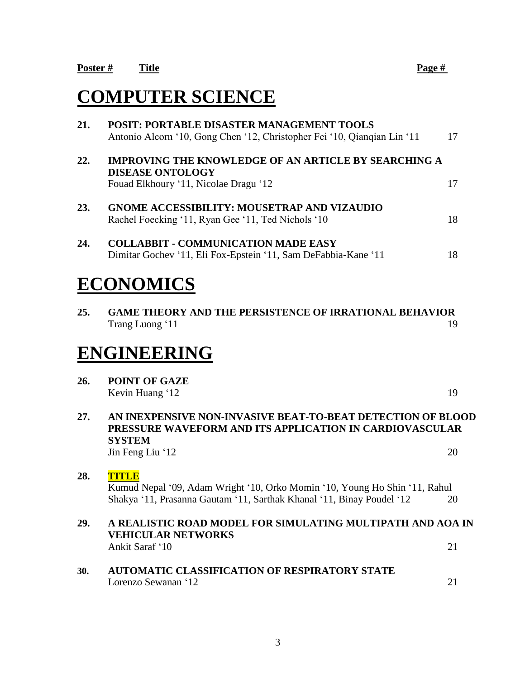# **COMPUTER SCIENCE**

**21. POSIT: PORTABLE DISASTER MANAGEMENT TOOLS** Antonio Alcorn '10, Gong Chen '12, Christopher Fei '10, Qianqian Lin '11 17 **22. IMPROVING THE KNOWLEDGE OF AN ARTICLE BY SEARCHING A DISEASE ONTOLOGY** Fouad Elkhoury '11, Nicolae Dragu '12 17 **23. GNOME ACCESSIBILITY: MOUSETRAP AND VIZAUDIO** Rachel Foecking '11, Ryan Gee '11, Ted Nichols '10 18 **24. COLLABBIT - COMMUNICATION MADE EASY** Dimitar Gochev '11, Eli Fox-Epstein '11, Sam DeFabbia-Kane '11 18 **ECONOMICS 25. GAME THEORY AND THE PERSISTENCE OF IRRATIONAL BEHAVIOR**  $\frac{19}{9}$ **ENGINEERING 26. POINT OF GAZE**  Kevin Huang '12 19 **27. AN INEXPENSIVE NON-INVASIVE BEAT-TO-BEAT DETECTION OF BLOOD PRESSURE WAVEFORM AND ITS APPLICATION IN CARDIOVASCULAR SYSTEM** Jin Feng Liu '12 20 **28. TITLE** Kumud Nepal '09, Adam Wright '10, Orko Momin '10, Young Ho Shin '11, Rahul Shakya '11, Prasanna Gautam '11, Sarthak Khanal '11, Binay Poudel '12 20 **29. A REALISTIC ROAD MODEL FOR SIMULATING MULTIPATH AND AOA IN VEHICULAR NETWORKS** Ankit Saraf '10 21 **30. AUTOMATIC CLASSIFICATION OF RESPIRATORY STATE**  Lorenzo Sewanan '12 21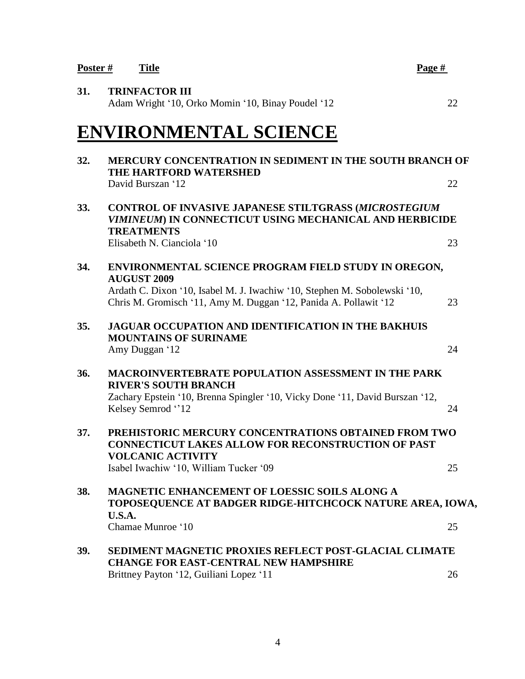| Poster # | <b>Title</b>                                                                                                                                  | Page # |  |  |  |
|----------|-----------------------------------------------------------------------------------------------------------------------------------------------|--------|--|--|--|
| 31.      | <b>TRINFACTOR III</b><br>Adam Wright '10, Orko Momin '10, Binay Poudel '12                                                                    | 22     |  |  |  |
|          | <b>ENVIRONMENTAL SCIENCE</b>                                                                                                                  |        |  |  |  |
| 32.      | MERCURY CONCENTRATION IN SEDIMENT IN THE SOUTH BRANCH OF<br>THE HARTFORD WATERSHED                                                            |        |  |  |  |
|          | David Burszan '12                                                                                                                             | 22     |  |  |  |
| 33.      | <b>CONTROL OF INVASIVE JAPANESE STILTGRASS (MICROSTEGIUM</b><br>VIMINEUM) IN CONNECTICUT USING MECHANICAL AND HERBICIDE<br><b>TREATMENTS</b>  |        |  |  |  |
|          | Elisabeth N. Cianciola '10                                                                                                                    | 23     |  |  |  |
| 34.      | ENVIRONMENTAL SCIENCE PROGRAM FIELD STUDY IN OREGON,<br><b>AUGUST 2009</b>                                                                    |        |  |  |  |
|          | Ardath C. Dixon '10, Isabel M. J. Iwachiw '10, Stephen M. Sobolewski '10,<br>Chris M. Gromisch '11, Amy M. Duggan '12, Panida A. Pollawit '12 | 23     |  |  |  |
| 35.      | <b>JAGUAR OCCUPATION AND IDENTIFICATION IN THE BAKHUIS</b><br><b>MOUNTAINS OF SURINAME</b>                                                    |        |  |  |  |
|          | Amy Duggan '12                                                                                                                                | 24     |  |  |  |
| 36.      | <b>MACROINVERTEBRATE POPULATION ASSESSMENT IN THE PARK</b><br><b>RIVER'S SOUTH BRANCH</b>                                                     |        |  |  |  |
|          | Zachary Epstein '10, Brenna Spingler '10, Vicky Done '11, David Burszan '12,<br>Kelsey Semrod "12                                             | 24     |  |  |  |
| 37.      | PREHISTORIC MERCURY CONCENTRATIONS OBTAINED FROM TWO<br><b>CONNECTICUT LAKES ALLOW FOR RECONSTRUCTION OF PAST</b><br><b>VOLCANIC ACTIVITY</b> |        |  |  |  |
|          | Isabel Iwachiw '10, William Tucker '09                                                                                                        | 25     |  |  |  |
| 38.      | <b>MAGNETIC ENHANCEMENT OF LOESSIC SOILS ALONG A</b><br>TOPOSEQUENCE AT BADGER RIDGE-HITCHCOCK NATURE AREA, IOWA,<br><b>U.S.A.</b>            |        |  |  |  |
|          | Chamae Munroe '10                                                                                                                             | 25     |  |  |  |
| 39.      | SEDIMENT MAGNETIC PROXIES REFLECT POST-GLACIAL CLIMATE<br><b>CHANGE FOR EAST-CENTRAL NEW HAMPSHIRE</b>                                        |        |  |  |  |
|          | Brittney Payton '12, Guiliani Lopez '11                                                                                                       | 26     |  |  |  |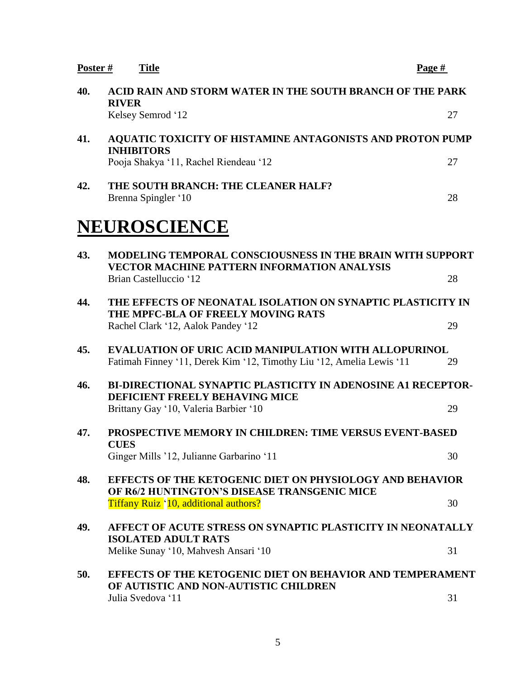| Poster # | <b>Title</b>                                                                                                                         | Page # |  |  |
|----------|--------------------------------------------------------------------------------------------------------------------------------------|--------|--|--|
| 40.      | ACID RAIN AND STORM WATER IN THE SOUTH BRANCH OF THE PARK<br><b>RIVER</b>                                                            |        |  |  |
|          | Kelsey Semrod '12                                                                                                                    | 27     |  |  |
| 41.      | <b>AQUATIC TOXICITY OF HISTAMINE ANTAGONISTS AND PROTON PUMP</b><br><b>INHIBITORS</b>                                                |        |  |  |
|          | Pooja Shakya '11, Rachel Riendeau '12                                                                                                | 27     |  |  |
| 42.      | THE SOUTH BRANCH: THE CLEANER HALF?<br>Brenna Spingler '10                                                                           | 28     |  |  |
|          | <b>NEUROSCIENCE</b>                                                                                                                  |        |  |  |
| 43.      | <b>MODELING TEMPORAL CONSCIOUSNESS IN THE BRAIN WITH SUPPORT</b><br><b>VECTOR MACHINE PATTERN INFORMATION ANALYSIS</b>               |        |  |  |
|          | Brian Castelluccio '12                                                                                                               | 28     |  |  |
| 44.      | THE EFFECTS OF NEONATAL ISOLATION ON SYNAPTIC PLASTICITY IN<br>THE MPFC-BLA OF FREELY MOVING RATS                                    |        |  |  |
|          | Rachel Clark '12, Aalok Pandey '12                                                                                                   | 29     |  |  |
| 45.      | <b>EVALUATION OF URIC ACID MANIPULATION WITH ALLOPURINOL</b><br>Fatimah Finney '11, Derek Kim '12, Timothy Liu '12, Amelia Lewis '11 | 29     |  |  |
| 46.      | <b>BI-DIRECTIONAL SYNAPTIC PLASTICITY IN ADENOSINE A1 RECEPTOR-</b>                                                                  |        |  |  |
|          | <b>DEFICIENT FREELY BEHAVING MICE</b><br>Brittany Gay '10, Valeria Barbier '10                                                       | 29     |  |  |
| 47.      | <b>PROSPECTIVE MEMORY IN CHILDREN: TIME VERSUS EVENT-BASED</b>                                                                       |        |  |  |
|          | <b>CUES</b><br>Ginger Mills '12, Julianne Garbarino '11                                                                              | 30     |  |  |
| 48.      | <b>EFFECTS OF THE KETOGENIC DIET ON PHYSIOLOGY AND BEHAVIOR</b><br>OF R6/2 HUNTINGTON'S DISEASE TRANSGENIC MICE                      |        |  |  |
|          | <b>Tiffany Ruiz '10, additional authors?</b>                                                                                         | 30     |  |  |
| 49.      | AFFECT OF ACUTE STRESS ON SYNAPTIC PLASTICITY IN NEONATALLY<br><b>ISOLATED ADULT RATS</b>                                            |        |  |  |
|          | Melike Sunay '10, Mahvesh Ansari '10                                                                                                 | 31     |  |  |
| 50.      | EFFECTS OF THE KETOGENIC DIET ON BEHAVIOR AND TEMPERAMENT                                                                            |        |  |  |
|          | OF AUTISTIC AND NON-AUTISTIC CHILDREN<br>Julia Svedova '11                                                                           | 31     |  |  |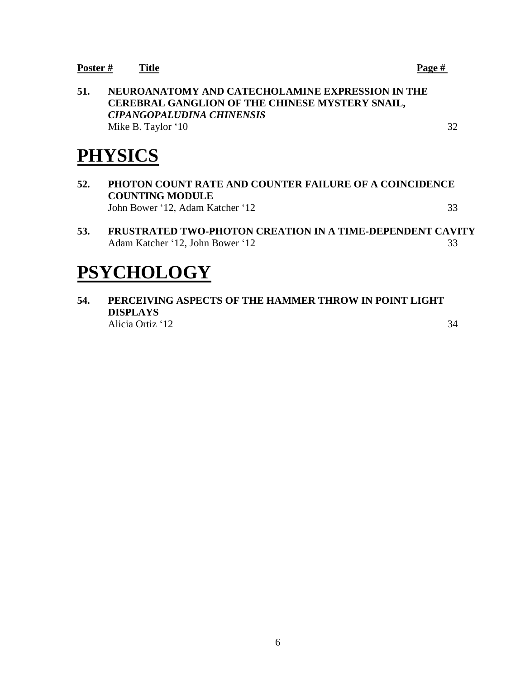| Poster # | Title                                                                                                                                                         | <b>Page</b> # |  |
|----------|---------------------------------------------------------------------------------------------------------------------------------------------------------------|---------------|--|
| 51.      | NEUROANATOMY AND CATECHOLAMINE EXPRESSION IN THE<br>CEREBRAL GANGLION OF THE CHINESE MYSTERY SNAIL,<br><b>CIPANGOPALUDINA CHINENSIS</b><br>Mike B. Taylor '10 | 32            |  |
|          | <b>PHYSICS</b>                                                                                                                                                |               |  |
| 52.      | PHOTON COUNT RATE AND COUNTER FAILURE OF A COINCIDENCE<br><b>COUNTING MODULE</b>                                                                              |               |  |
|          | John Bower '12, Adam Katcher '12                                                                                                                              | 33            |  |
| 53.      | <b>FRUSTRATED TWO-PHOTON CREATION IN A TIME-DEPENDENT CAVITY</b><br>Adam Katcher '12, John Bower '12                                                          | 33            |  |
|          | <b>PSYCHOLOGY</b>                                                                                                                                             |               |  |

**54. PERCEIVING ASPECTS OF THE HAMMER THROW IN POINT LIGHT DISPLAYS** Alicia Ortiz '12 34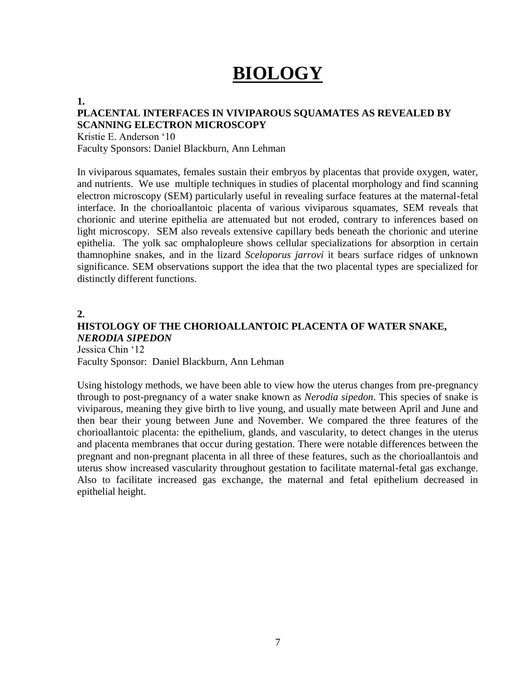# **BIOLOGY**

#### **1.**

#### **PLACENTAL INTERFACES IN VIVIPAROUS SQUAMATES AS REVEALED BY SCANNING ELECTRON MICROSCOPY**

Kristie E. Anderson '10 Faculty Sponsors: Daniel Blackburn, Ann Lehman

In viviparous squamates, females sustain their embryos by placentas that provide oxygen, water, and nutrients. We use multiple techniques in studies of placental morphology and find scanning electron microscopy (SEM) particularly useful in revealing surface features at the maternal-fetal interface. In the chorioallantoic placenta of various viviparous squamates, SEM reveals that chorionic and uterine epithelia are attenuated but not eroded, contrary to inferences based on light microscopy. SEM also reveals extensive capillary beds beneath the chorionic and uterine epithelia. The yolk sac omphalopleure shows cellular specializations for absorption in certain thamnophine snakes, and in the lizard *Sceloporus jarrovi* it bears surface ridges of unknown significance. SEM observations support the idea that the two placental types are specialized for distinctly different functions.

#### **2.**

### **HISTOLOGY OF THE CHORIOALLANTOIC PLACENTA OF WATER SNAKE,**  *NERODIA SIPEDON* Jessica Chin '12 Faculty Sponsor: Daniel Blackburn, Ann Lehman

Using histology methods, we have been able to view how the uterus changes from pre-pregnancy through to post-pregnancy of a water snake known as *Nerodia sipedon*. This species of snake is viviparous, meaning they give birth to live young, and usually mate between April and June and then bear their young between June and November. We compared the three features of the chorioallantoic placenta: the epithelium, glands, and vascularity, to detect changes in the uterus and placenta membranes that occur during gestation. There were notable differences between the pregnant and non-pregnant placenta in all three of these features, such as the chorioallantois and uterus show increased vascularity throughout gestation to facilitate maternal-fetal gas exchange. Also to facilitate increased gas exchange, the maternal and fetal epithelium decreased in epithelial height.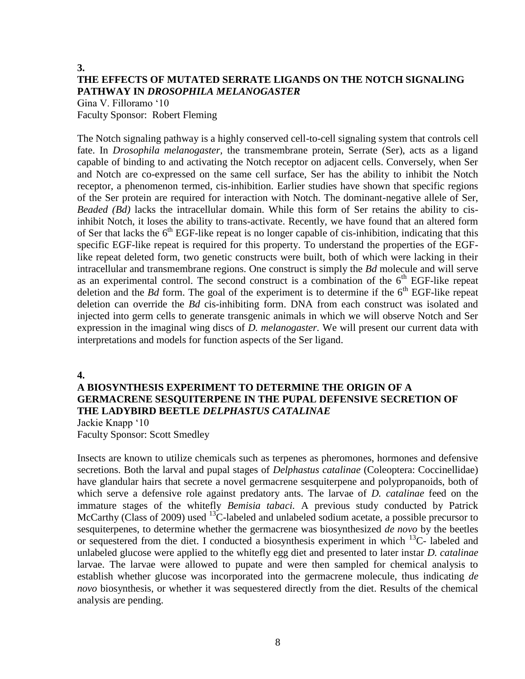## **3. THE EFFECTS OF MUTATED SERRATE LIGANDS ON THE NOTCH SIGNALING PATHWAY IN** *DROSOPHILA MELANOGASTER*

Gina V. Filloramo '10 Faculty Sponsor: Robert Fleming

The Notch signaling pathway is a highly conserved cell-to-cell signaling system that controls cell fate. In *Drosophila melanogaster,* the transmembrane protein, Serrate (Ser), acts as a ligand capable of binding to and activating the Notch receptor on adjacent cells. Conversely, when Ser and Notch are co-expressed on the same cell surface, Ser has the ability to inhibit the Notch receptor, a phenomenon termed, cis-inhibition. Earlier studies have shown that specific regions of the Ser protein are required for interaction with Notch. The dominant-negative allele of Ser, *Beaded (Bd)* lacks the intracellular domain. While this form of Ser retains the ability to cisinhibit Notch, it loses the ability to trans-activate. Recently, we have found that an altered form of Ser that lacks the  $6<sup>th</sup>$  EGF-like repeat is no longer capable of cis-inhibition, indicating that this specific EGF-like repeat is required for this property. To understand the properties of the EGFlike repeat deleted form, two genetic constructs were built, both of which were lacking in their intracellular and transmembrane regions. One construct is simply the *Bd* molecule and will serve as an experimental control. The second construct is a combination of the  $6<sup>th</sup>$  EGF-like repeat deletion and the *Bd* form. The goal of the experiment is to determine if the 6<sup>th</sup> EGF-like repeat deletion can override the *Bd* cis-inhibiting form. DNA from each construct was isolated and injected into germ cells to generate transgenic animals in which we will observe Notch and Ser expression in the imaginal wing discs of *D. melanogaster.* We will present our current data with interpretations and models for function aspects of the Ser ligand.

**4.**

## **A BIOSYNTHESIS EXPERIMENT TO DETERMINE THE ORIGIN OF A GERMACRENE SESQUITERPENE IN THE PUPAL DEFENSIVE SECRETION OF THE LADYBIRD BEETLE** *DELPHASTUS CATALINAE*

Jackie Knapp '10 Faculty Sponsor: Scott Smedley

Insects are known to utilize chemicals such as terpenes as pheromones, hormones and defensive secretions. Both the larval and pupal stages of *Delphastus catalinae* (Coleoptera: Coccinellidae) have glandular hairs that secrete a novel germacrene sesquiterpene and polypropanoids, both of which serve a defensive role against predatory ants. The larvae of *D. catalinae* feed on the immature stages of the whitefly *Bemisia tabaci.* A previous study conducted by Patrick McCarthy (Class of 2009) used <sup>13</sup>C-labeled and unlabeled sodium acetate, a possible precursor to sesquiterpenes, to determine whether the germacrene was biosynthesized *de novo* by the beetles or sequestered from the diet. I conducted a biosynthesis experiment in which  $^{13}C$ - labeled and unlabeled glucose were applied to the whitefly egg diet and presented to later instar *D. catalinae* larvae. The larvae were allowed to pupate and were then sampled for chemical analysis to establish whether glucose was incorporated into the germacrene molecule, thus indicating *de novo* biosynthesis, or whether it was sequestered directly from the diet. Results of the chemical analysis are pending.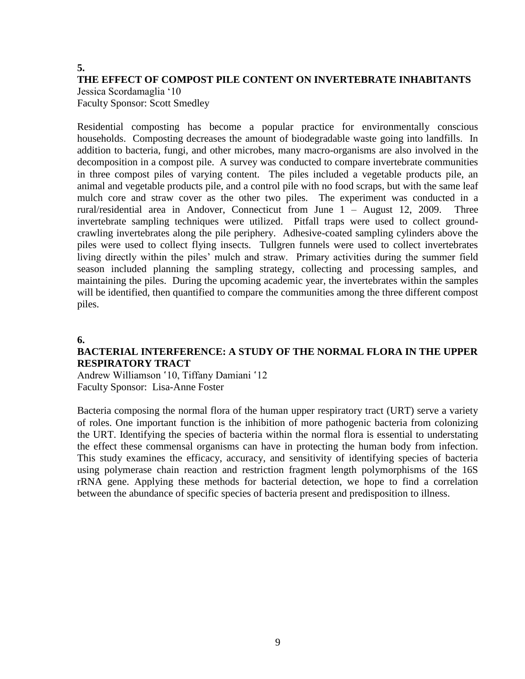#### **5.**

## **THE EFFECT OF COMPOST PILE CONTENT ON INVERTEBRATE INHABITANTS**  Jessica Scordamaglia '10

Faculty Sponsor: Scott Smedley

Residential composting has become a popular practice for environmentally conscious households. Composting decreases the amount of biodegradable waste going into landfills. In addition to bacteria, fungi, and other microbes, many macro-organisms are also involved in the decomposition in a compost pile. A survey was conducted to compare invertebrate communities in three compost piles of varying content. The piles included a vegetable products pile, an animal and vegetable products pile, and a control pile with no food scraps, but with the same leaf mulch core and straw cover as the other two piles. The experiment was conducted in a rural/residential area in Andover, Connecticut from June 1 – August 12, 2009. Three invertebrate sampling techniques were utilized. Pitfall traps were used to collect groundcrawling invertebrates along the pile periphery. Adhesive-coated sampling cylinders above the piles were used to collect flying insects. Tullgren funnels were used to collect invertebrates living directly within the piles' mulch and straw. Primary activities during the summer field season included planning the sampling strategy, collecting and processing samples, and maintaining the piles. During the upcoming academic year, the invertebrates within the samples will be identified, then quantified to compare the communities among the three different compost piles.

## **6.**

## **BACTERIAL INTERFERENCE: A STUDY OF THE NORMAL FLORA IN THE UPPER RESPIRATORY TRACT**

Andrew Williamson '10, Tiffany Damiani '12 Faculty Sponsor: Lisa-Anne Foster

Bacteria composing the normal flora of the human upper respiratory tract (URT) serve a variety of roles. One important function is the inhibition of more pathogenic bacteria from colonizing the URT. Identifying the species of bacteria within the normal flora is essential to understating the effect these commensal organisms can have in protecting the human body from infection. This study examines the efficacy, accuracy, and sensitivity of identifying species of bacteria using polymerase chain reaction and restriction fragment length polymorphisms of the 16S rRNA gene. Applying these methods for bacterial detection, we hope to find a correlation between the abundance of specific species of bacteria present and predisposition to illness.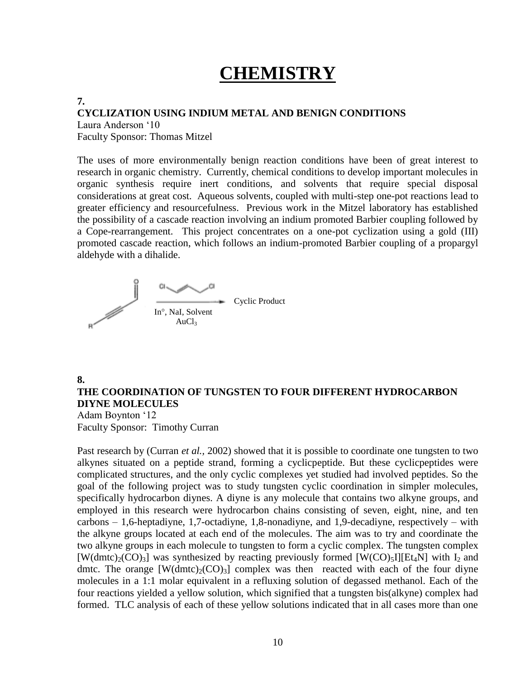## **CHEMISTRY**

#### **7.**

## **CYCLIZATION USING INDIUM METAL AND BENIGN CONDITIONS**

Laura Anderson '10

Faculty Sponsor: Thomas Mitzel

The uses of more environmentally benign reaction conditions have been of great interest to research in organic chemistry. Currently, chemical conditions to develop important molecules in organic synthesis require inert conditions, and solvents that require special disposal considerations at great cost. Aqueous solvents, coupled with multi-step one-pot reactions lead to greater efficiency and resourcefulness. Previous work in the Mitzel laboratory has established the possibility of a cascade reaction involving an indium promoted Barbier coupling followed by a Cope-rearrangement. This project concentrates on a one-pot cyclization using a gold (III) promoted cascade reaction, which follows an indium-promoted Barbier coupling of a propargyl aldehyde with a dihalide.



## **8. THE COORDINATION OF TUNGSTEN TO FOUR DIFFERENT HYDROCARBON DIYNE MOLECULES**

Adam Boynton '12 Faculty Sponsor: Timothy Curran

Past research by (Curran *et al.,* 2002) showed that it is possible to coordinate one tungsten to two alkynes situated on a peptide strand, forming a cyclicpeptide. But these cyclicpeptides were complicated structures, and the only cyclic complexes yet studied had involved peptides. So the goal of the following project was to study tungsten cyclic coordination in simpler molecules, specifically hydrocarbon diynes. A diyne is any molecule that contains two alkyne groups, and employed in this research were hydrocarbon chains consisting of seven, eight, nine, and ten carbons – 1,6-heptadiyne, 1,7-octadiyne, 1,8-nonadiyne, and 1,9-decadiyne, respectively – with the alkyne groups located at each end of the molecules. The aim was to try and coordinate the two alkyne groups in each molecule to tungsten to form a cyclic complex. The tungsten complex  $[W(\text{d}m\text{tc})_2(CO)_3]$  was synthesized by reacting previously formed  $[W(CO)_5][E_4N]$  with  $I_2$  and dmtc. The orange  $[W(dmtc)_{2}(CO)_{3}]$  complex was then reacted with each of the four diyne molecules in a 1:1 molar equivalent in a refluxing solution of degassed methanol. Each of the four reactions yielded a yellow solution, which signified that a tungsten bis(alkyne) complex had formed. TLC analysis of each of these yellow solutions indicated that in all cases more than one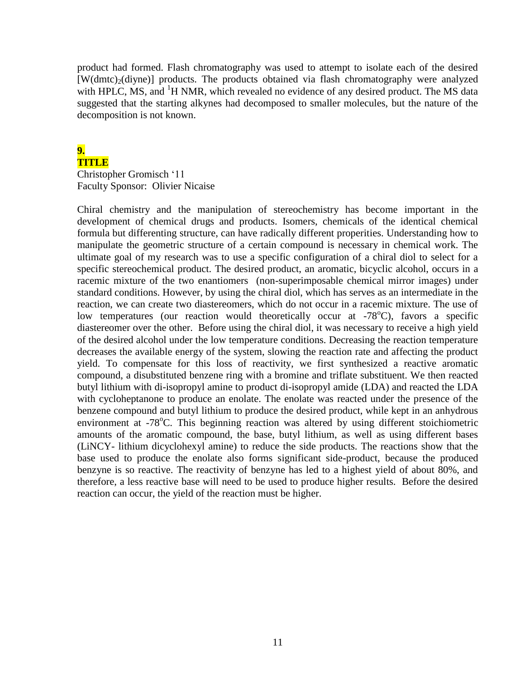product had formed. Flash chromatography was used to attempt to isolate each of the desired  $[W(dmtc)<sub>2</sub>(divne)]$  products. The products obtained via flash chromatography were analyzed with HPLC, MS, and  ${}^{1}H$  NMR, which revealed no evidence of any desired product. The MS data suggested that the starting alkynes had decomposed to smaller molecules, but the nature of the decomposition is not known.

## **9.**

## **TITLE**

Christopher Gromisch '11 Faculty Sponsor: Olivier Nicaise

Chiral chemistry and the manipulation of stereochemistry has become important in the development of chemical drugs and products. Isomers, chemicals of the identical chemical formula but differenting structure, can have radically different properities. Understanding how to manipulate the geometric structure of a certain compound is necessary in chemical work. The ultimate goal of my research was to use a specific configuration of a chiral diol to select for a specific stereochemical product. The desired product, an aromatic, bicyclic alcohol, occurs in a racemic mixture of the two enantiomers (non-superimposable chemical mirror images) under standard conditions. However, by using the chiral diol, which has serves as an intermediate in the reaction, we can create two diastereomers, which do not occur in a racemic mixture. The use of low temperatures (our reaction would theoretically occur at  $-78^{\circ}$ C), favors a specific diastereomer over the other. Before using the chiral diol, it was necessary to receive a high yield of the desired alcohol under the low temperature conditions. Decreasing the reaction temperature decreases the available energy of the system, slowing the reaction rate and affecting the product yield. To compensate for this loss of reactivity, we first synthesized a reactive aromatic compound, a disubstituted benzene ring with a bromine and triflate substituent. We then reacted butyl lithium with di-isopropyl amine to product di-isopropyl amide (LDA) and reacted the LDA with cycloheptanone to produce an enolate. The enolate was reacted under the presence of the benzene compound and butyl lithium to produce the desired product, while kept in an anhydrous environment at  $-78^{\circ}$ C. This beginning reaction was altered by using different stoichiometric amounts of the aromatic compound, the base, butyl lithium, as well as using different bases (LiNCY- lithium dicyclohexyl amine) to reduce the side products. The reactions show that the base used to produce the enolate also forms significant side-product, because the produced benzyne is so reactive. The reactivity of benzyne has led to a highest yield of about 80%, and therefore, a less reactive base will need to be used to produce higher results. Before the desired reaction can occur, the yield of the reaction must be higher.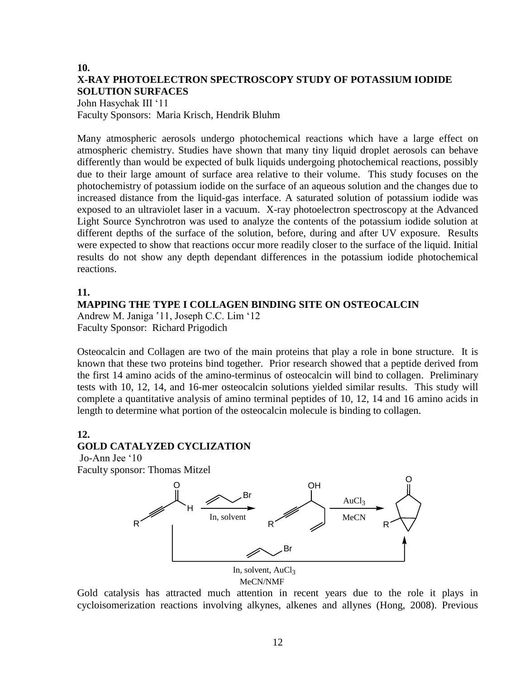## **10. X-RAY PHOTOELECTRON SPECTROSCOPY STUDY OF POTASSIUM IODIDE SOLUTION SURFACES**

John Hasychak III '11 Faculty Sponsors: Maria Krisch, Hendrik Bluhm

Many atmospheric aerosols undergo photochemical reactions which have a large effect on atmospheric chemistry. Studies have shown that many tiny liquid droplet aerosols can behave differently than would be expected of bulk liquids undergoing photochemical reactions, possibly due to their large amount of surface area relative to their volume. This study focuses on the photochemistry of potassium iodide on the surface of an aqueous solution and the changes due to increased distance from the liquid-gas interface. A saturated solution of potassium iodide was exposed to an ultraviolet laser in a vacuum. X-ray photoelectron spectroscopy at the Advanced Light Source Synchrotron was used to analyze the contents of the potassium iodide solution at different depths of the surface of the solution, before, during and after UV exposure. Results were expected to show that reactions occur more readily closer to the surface of the liquid. Initial results do not show any depth dependant differences in the potassium iodide photochemical reactions.

### **11.**

## **MAPPING THE TYPE I COLLAGEN BINDING SITE ON OSTEOCALCIN**

Andrew M. Janiga '11, Joseph C.C. Lim '12 Faculty Sponsor: Richard Prigodich

Osteocalcin and Collagen are two of the main proteins that play a role in bone structure. It is known that these two proteins bind together. Prior research showed that a peptide derived from the first 14 amino acids of the amino-terminus of osteocalcin will bind to collagen. Preliminary tests with 10, 12, 14, and 16-mer osteocalcin solutions yielded similar results. This study will complete a quantitative analysis of amino terminal peptides of 10, 12, 14 and 16 amino acids in length to determine what portion of the osteocalcin molecule is binding to collagen.

## **12.**

## **GOLD CATALYZED CYCLIZATION**

Jo-Ann Jee '10 Faculty sponsor: Thomas Mitzel



Gold catalysis has attracted much attention in recent years due to the role it plays in cycloisomerization reactions involving alkynes, alkenes and allynes (Hong, 2008). Previous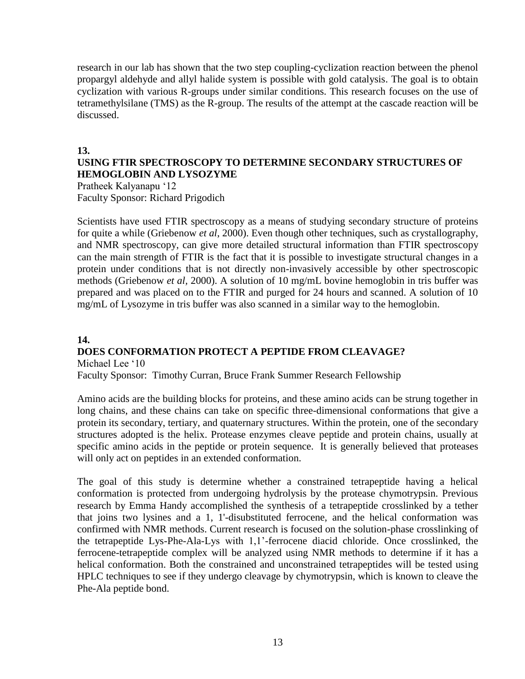research in our lab has shown that the two step coupling-cyclization reaction between the phenol propargyl aldehyde and allyl halide system is possible with gold catalysis. The goal is to obtain cyclization with various R-groups under similar conditions. This research focuses on the use of tetramethylsilane (TMS) as the R-group. The results of the attempt at the cascade reaction will be discussed.

#### **13.**

## **USING FTIR SPECTROSCOPY TO DETERMINE SECONDARY STRUCTURES OF HEMOGLOBIN AND LYSOZYME**

Pratheek Kalyanapu '12 Faculty Sponsor: Richard Prigodich

Scientists have used FTIR spectroscopy as a means of studying secondary structure of proteins for quite a while (Griebenow *et al*, 2000). Even though other techniques, such as crystallography, and NMR spectroscopy, can give more detailed structural information than FTIR spectroscopy can the main strength of FTIR is the fact that it is possible to investigate structural changes in a protein under conditions that is not directly non-invasively accessible by other spectroscopic methods (Griebenow *et al,* 2000). A solution of 10 mg/mL bovine hemoglobin in tris buffer was prepared and was placed on to the FTIR and purged for 24 hours and scanned. A solution of 10 mg/mL of Lysozyme in tris buffer was also scanned in a similar way to the hemoglobin.

### **14.**

## **DOES CONFORMATION PROTECT A PEPTIDE FROM CLEAVAGE?**

Michael Lee '10

Faculty Sponsor: Timothy Curran, Bruce Frank Summer Research Fellowship

Amino acids are the building blocks for proteins, and these amino acids can be strung together in long chains, and these chains can take on specific three-dimensional conformations that give a protein its secondary, tertiary, and quaternary structures. Within the protein, one of the secondary structures adopted is the helix. Protease enzymes cleave peptide and protein chains, usually at specific amino acids in the peptide or protein sequence. It is generally believed that proteases will only act on peptides in an extended conformation.

The goal of this study is determine whether a constrained tetrapeptide having a helical conformation is protected from undergoing hydrolysis by the protease chymotrypsin. Previous research by Emma Handy accomplished the synthesis of a tetrapeptide crosslinked by a tether that joins two lysines and a 1, 1'-disubstituted ferrocene, and the helical conformation was confirmed with NMR methods. Current research is focused on the solution-phase crosslinking of the tetrapeptide Lys-Phe-Ala-Lys with 1,1'-ferrocene diacid chloride. Once crosslinked, the ferrocene-tetrapeptide complex will be analyzed using NMR methods to determine if it has a helical conformation. Both the constrained and unconstrained tetrapeptides will be tested using HPLC techniques to see if they undergo cleavage by chymotrypsin, which is known to cleave the Phe-Ala peptide bond.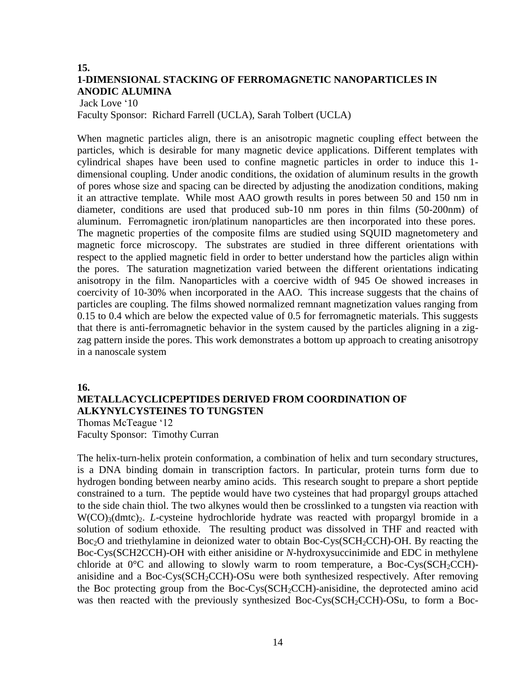## **15. 1-DIMENSIONAL STACKING OF FERROMAGNETIC NANOPARTICLES IN ANODIC ALUMINA**

### Jack Love '10 Faculty Sponsor: Richard Farrell (UCLA), Sarah Tolbert (UCLA)

When magnetic particles align, there is an anisotropic magnetic coupling effect between the particles, which is desirable for many magnetic device applications. Different templates with cylindrical shapes have been used to confine magnetic particles in order to induce this 1 dimensional coupling. Under anodic conditions, the oxidation of aluminum results in the growth of pores whose size and spacing can be directed by adjusting the anodization conditions, making it an attractive template. While most AAO growth results in pores between 50 and 150 nm in diameter, conditions are used that produced sub-10 nm pores in thin films (50-200nm) of aluminum. Ferromagnetic iron/platinum nanoparticles are then incorporated into these pores. The magnetic properties of the composite films are studied using SQUID magnetometery and magnetic force microscopy. The substrates are studied in three different orientations with respect to the applied magnetic field in order to better understand how the particles align within the pores. The saturation magnetization varied between the different orientations indicating anisotropy in the film. Nanoparticles with a coercive width of 945 Oe showed increases in coercivity of 10-30% when incorporated in the AAO. This increase suggests that the chains of particles are coupling. The films showed normalized remnant magnetization values ranging from 0.15 to 0.4 which are below the expected value of 0.5 for ferromagnetic materials. This suggests that there is anti-ferromagnetic behavior in the system caused by the particles aligning in a zigzag pattern inside the pores. This work demonstrates a bottom up approach to creating anisotropy in a nanoscale system

## **16. METALLACYCLICPEPTIDES DERIVED FROM COORDINATION OF ALKYNYLCYSTEINES TO TUNGSTEN**

Thomas McTeague '12 Faculty Sponsor: Timothy Curran

The helix-turn-helix protein conformation, a combination of helix and turn secondary structures, is a DNA binding domain in transcription factors. In particular, protein turns form due to hydrogen bonding between nearby amino acids. This research sought to prepare a short peptide constrained to a turn. The peptide would have two cysteines that had propargyl groups attached to the side chain thiol. The two alkynes would then be crosslinked to a tungsten via reaction with W(CO)<sub>3</sub>(dmtc)<sub>2</sub>. *L*-cysteine hydrochloride hydrate was reacted with propargyl bromide in a solution of sodium ethoxide. The resulting product was dissolved in THF and reacted with Boc<sub>2</sub>O and triethylamine in deionized water to obtain Boc-Cys(SCH<sub>2</sub>CCH)-OH. By reacting the Boc-Cys(SCH2CCH)-OH with either anisidine or *N-*hydroxysuccinimide and EDC in methylene chloride at  $0^{\circ}$ C and allowing to slowly warm to room temperature, a Boc-Cys(SCH<sub>2</sub>CCH)anisidine and a Boc-Cys(SCH<sub>2</sub>CCH)-OSu were both synthesized respectively. After removing the Boc protecting group from the Boc-Cys(SCH2CCH)-anisidine, the deprotected amino acid was then reacted with the previously synthesized Boc-Cys(SCH<sub>2</sub>CCH)-OSu, to form a Boc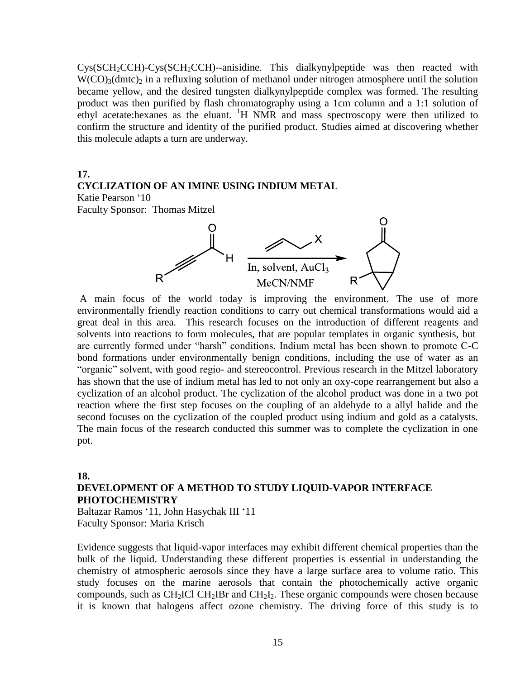$Cys(SCH_2CCH)$ -Cys(SCH<sub>2</sub>CCH)--anisidine. This dialkynylpeptide was then reacted with  $W(CO)$ 3(dmtc)<sub>2</sub> in a refluxing solution of methanol under nitrogen atmosphere until the solution became yellow, and the desired tungsten dialkynylpeptide complex was formed. The resulting product was then purified by flash chromatography using a 1cm column and a 1:1 solution of ethyl acetate: hexanes as the eluant.  ${}^{1}H$  NMR and mass spectroscopy were then utilized to confirm the structure and identity of the purified product. Studies aimed at discovering whether this molecule adapts a turn are underway.

**17.**

#### **CYCLIZATION OF AN IMINE USING INDIUM METAL**

Katie Pearson '10 Faculty Sponsor: Thomas Mitzel



A main focus of the world today is improving the environment. The use of more environmentally friendly reaction conditions to carry out chemical transformations would aid a great deal in this area. This research focuses on the introduction of different reagents and solvents into reactions to form molecules, that are popular templates in organic synthesis, but are currently formed under "harsh" conditions. Indium metal has been shown to promote C-C bond formations under environmentally benign conditions, including the use of water as an "organic" solvent, with good regio- and stereocontrol. Previous research in the Mitzel laboratory has shown that the use of indium metal has led to not only an oxy-cope rearrangement but also a cyclization of an alcohol product. The cyclization of the alcohol product was done in a two pot reaction where the first step focuses on the coupling of an aldehyde to a allyl halide and the second focuses on the cyclization of the coupled product using indium and gold as a catalysts. The main focus of the research conducted this summer was to complete the cyclization in one pot.

## **18. DEVELOPMENT OF A METHOD TO STUDY LIQUID-VAPOR INTERFACE PHOTOCHEMISTRY**

Baltazar Ramos '11, John Hasychak III '11 Faculty Sponsor: Maria Krisch

Evidence suggests that liquid-vapor interfaces may exhibit different chemical properties than the bulk of the liquid. Understanding these different properties is essential in understanding the chemistry of atmospheric aerosols since they have a large surface area to volume ratio. This study focuses on the marine aerosols that contain the photochemically active organic compounds, such as CH<sub>2</sub>ICl CH<sub>2</sub>IBr and CH<sub>2</sub>I<sub>2</sub>. These organic compounds were chosen because it is known that halogens affect ozone chemistry. The driving force of this study is to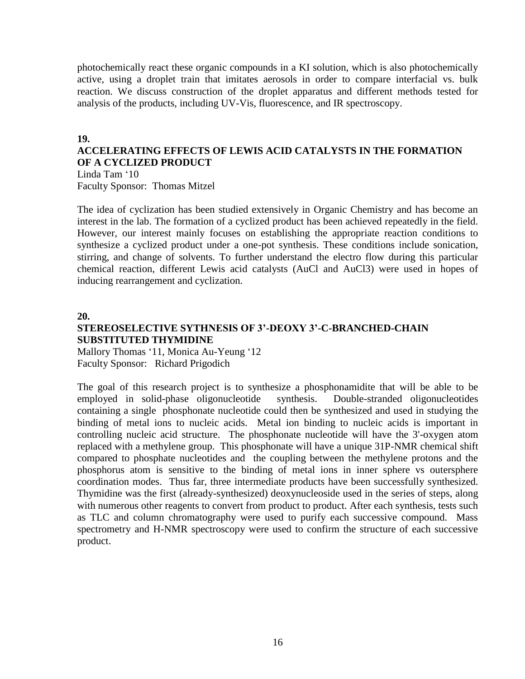photochemically react these organic compounds in a KI solution, which is also photochemically active, using a droplet train that imitates aerosols in order to compare interfacial vs. bulk reaction. We discuss construction of the droplet apparatus and different methods tested for analysis of the products, including UV-Vis, fluorescence, and IR spectroscopy.

#### **19.**

## **ACCELERATING EFFECTS OF LEWIS ACID CATALYSTS IN THE FORMATION OF A CYCLIZED PRODUCT**

Linda Tam '10 Faculty Sponsor: Thomas Mitzel

The idea of cyclization has been studied extensively in Organic Chemistry and has become an interest in the lab. The formation of a cyclized product has been achieved repeatedly in the field. However, our interest mainly focuses on establishing the appropriate reaction conditions to synthesize a cyclized product under a one-pot synthesis. These conditions include sonication, stirring, and change of solvents. To further understand the electro flow during this particular chemical reaction, different Lewis acid catalysts (AuCl and AuCl3) were used in hopes of inducing rearrangement and cyclization.

#### **20.**

## **STEREOSELECTIVE SYTHNESIS OF 3'-DEOXY 3'-C-BRANCHED-CHAIN SUBSTITUTED THYMIDINE**

Mallory Thomas '11, Monica Au-Yeung '12 Faculty Sponsor: Richard Prigodich

The goal of this research project is to synthesize a phosphonamidite that will be able to be employed in solid-phase oligonucleotide synthesis. Double-stranded oligonucleotides containing a single phosphonate nucleotide could then be synthesized and used in studying the binding of metal ions to nucleic acids. Metal ion binding to nucleic acids is important in controlling nucleic acid structure. The phosphonate nucleotide will have the 3'-oxygen atom replaced with a methylene group. This phosphonate will have a unique 31P-NMR chemical shift compared to phosphate nucleotides and the coupling between the methylene protons and the phosphorus atom is sensitive to the binding of metal ions in inner sphere vs outersphere coordination modes. Thus far, three intermediate products have been successfully synthesized. Thymidine was the first (already-synthesized) deoxynucleoside used in the series of steps, along with numerous other reagents to convert from product to product. After each synthesis, tests such as TLC and column chromatography were used to purify each successive compound. Mass spectrometry and H-NMR spectroscopy were used to confirm the structure of each successive product.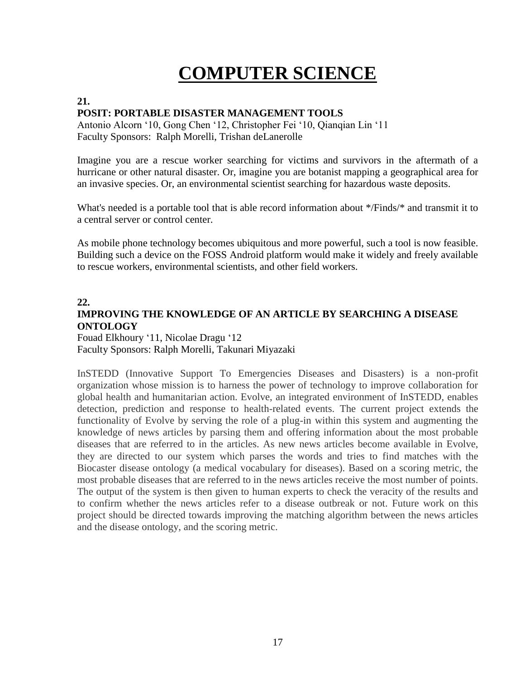# **COMPUTER SCIENCE**

#### **21.**

## **POSIT: PORTABLE DISASTER MANAGEMENT TOOLS**

Antonio Alcorn '10, Gong Chen '12, Christopher Fei '10, Qianqian Lin '11 Faculty Sponsors: Ralph Morelli, Trishan deLanerolle

Imagine you are a rescue worker searching for victims and survivors in the aftermath of a hurricane or other natural disaster. Or, imagine you are botanist mapping a geographical area for an invasive species. Or, an environmental scientist searching for hazardous waste deposits.

What's needed is a portable tool that is able record information about \*/Finds/\* and transmit it to a central server or control center.

As mobile phone technology becomes ubiquitous and more powerful, such a tool is now feasible. Building such a device on the FOSS Android platform would make it widely and freely available to rescue workers, environmental scientists, and other field workers.

#### **22. IMPROVING THE KNOWLEDGE OF AN ARTICLE BY SEARCHING A DISEASE ONTOLOGY**

Fouad Elkhoury '11, Nicolae Dragu '12

Faculty Sponsors: Ralph Morelli, Takunari Miyazaki

InSTEDD (Innovative Support To Emergencies Diseases and Disasters) is a non-profit organization whose mission is to harness the power of technology to improve collaboration for global health and humanitarian action. Evolve, an integrated environment of InSTEDD, enables detection, prediction and response to health-related events. The current project extends the functionality of Evolve by serving the role of a plug-in within this system and augmenting the knowledge of news articles by parsing them and offering information about the most probable diseases that are referred to in the articles. As new news articles become available in Evolve, they are directed to our system which parses the words and tries to find matches with the Biocaster disease ontology (a medical vocabulary for diseases). Based on a scoring metric, the most probable diseases that are referred to in the news articles receive the most number of points. The output of the system is then given to human experts to check the veracity of the results and to confirm whether the news articles refer to a disease outbreak or not. Future work on this project should be directed towards improving the matching algorithm between the news articles and the disease ontology, and the scoring metric.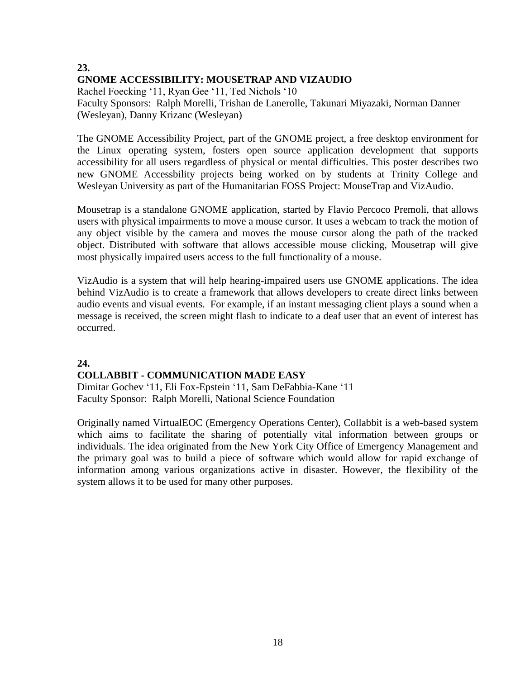#### **23. GNOME ACCESSIBILITY: MOUSETRAP AND VIZAUDIO**

Rachel Foecking '11, Ryan Gee '11, Ted Nichols '10 Faculty Sponsors: Ralph Morelli, Trishan de Lanerolle, Takunari Miyazaki, Norman Danner (Wesleyan), Danny Krizanc (Wesleyan)

The GNOME Accessibility Project, part of the GNOME project, a free desktop environment for the Linux operating system, fosters open source application development that supports accessibility for all users regardless of physical or mental difficulties. This poster describes two new GNOME Accessbility projects being worked on by students at Trinity College and Wesleyan University as part of the Humanitarian FOSS Project: MouseTrap and VizAudio.

Mousetrap is a standalone GNOME application, started by Flavio Percoco Premoli, that allows users with physical impairments to move a mouse cursor. It uses a webcam to track the motion of any object visible by the camera and moves the mouse cursor along the path of the tracked object. Distributed with software that allows accessible mouse clicking, Mousetrap will give most physically impaired users access to the full functionality of a mouse.

VizAudio is a system that will help hearing-impaired users use GNOME applications. The idea behind VizAudio is to create a framework that allows developers to create direct links between audio events and visual events. For example, if an instant messaging client plays a sound when a message is received, the screen might flash to indicate to a deaf user that an event of interest has occurred.

## **24. COLLABBIT - COMMUNICATION MADE EASY**

Dimitar Gochev '11, Eli Fox-Epstein '11, Sam DeFabbia-Kane '11 Faculty Sponsor: Ralph Morelli, National Science Foundation

Originally named VirtualEOC (Emergency Operations Center), Collabbit is a web-based system which aims to facilitate the sharing of potentially vital information between groups or individuals. The idea originated from the New York City Office of Emergency Management and the primary goal was to build a piece of software which would allow for rapid exchange of information among various organizations active in disaster. However, the flexibility of the system allows it to be used for many other purposes.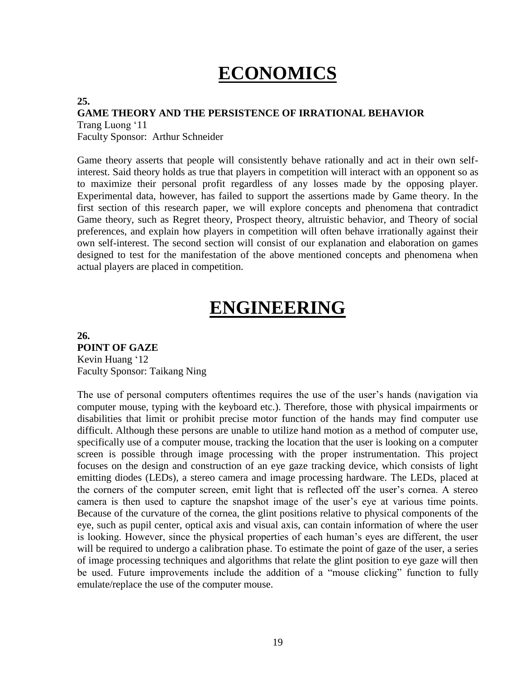## **ECONOMICS**

#### **25.**

## **GAME THEORY AND THE PERSISTENCE OF IRRATIONAL BEHAVIOR**

Trang Luong '11 Faculty Sponsor: Arthur Schneider

Game theory asserts that people will consistently behave rationally and act in their own selfinterest. Said theory holds as true that players in competition will interact with an opponent so as to maximize their personal profit regardless of any losses made by the opposing player. Experimental data, however, has failed to support the assertions made by Game theory. In the first section of this research paper, we will explore concepts and phenomena that contradict Game theory, such as Regret theory, Prospect theory, altruistic behavior, and Theory of social preferences, and explain how players in competition will often behave irrationally against their own self-interest. The second section will consist of our explanation and elaboration on games designed to test for the manifestation of the above mentioned concepts and phenomena when actual players are placed in competition.

## **ENGINEERING**

**26. POINT OF GAZE**  Kevin Huang '12 Faculty Sponsor: Taikang Ning

The use of personal computers oftentimes requires the use of the user's hands (navigation via computer mouse, typing with the keyboard etc.). Therefore, those with physical impairments or disabilities that limit or prohibit precise motor function of the hands may find computer use difficult. Although these persons are unable to utilize hand motion as a method of computer use, specifically use of a computer mouse, tracking the location that the user is looking on a computer screen is possible through image processing with the proper instrumentation. This project focuses on the design and construction of an eye gaze tracking device, which consists of light emitting diodes (LEDs), a stereo camera and image processing hardware. The LEDs, placed at the corners of the computer screen, emit light that is reflected off the user's cornea. A stereo camera is then used to capture the snapshot image of the user's eye at various time points. Because of the curvature of the cornea, the glint positions relative to physical components of the eye, such as pupil center, optical axis and visual axis, can contain information of where the user is looking. However, since the physical properties of each human's eyes are different, the user will be required to undergo a calibration phase. To estimate the point of gaze of the user, a series of image processing techniques and algorithms that relate the glint position to eye gaze will then be used. Future improvements include the addition of a "mouse clicking" function to fully emulate/replace the use of the computer mouse.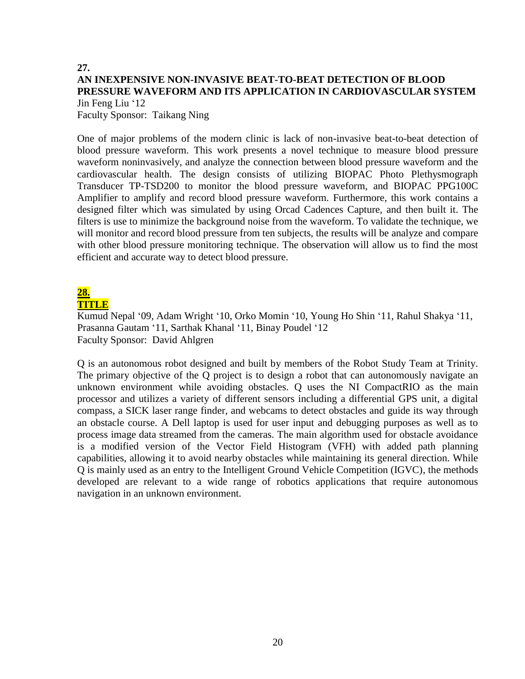## **27. AN INEXPENSIVE NON-INVASIVE BEAT-TO-BEAT DETECTION OF BLOOD PRESSURE WAVEFORM AND ITS APPLICATION IN CARDIOVASCULAR SYSTEM** Jin Feng Liu '12

Faculty Sponsor: Taikang Ning

One of major problems of the modern clinic is lack of non-invasive beat-to-beat detection of blood pressure waveform. This work presents a novel technique to measure blood pressure waveform noninvasively, and analyze the connection between blood pressure waveform and the cardiovascular health. The design consists of utilizing BIOPAC Photo Plethysmograph Transducer TP-TSD200 to monitor the blood pressure waveform, and BIOPAC PPG100C Amplifier to amplify and record blood pressure waveform. Furthermore, this work contains a designed filter which was simulated by using Orcad Cadences Capture, and then built it. The filters is use to minimize the background noise from the waveform. To validate the technique, we will monitor and record blood pressure from ten subjects, the results will be analyze and compare with other blood pressure monitoring technique. The observation will allow us to find the most efficient and accurate way to detect blood pressure.

## **28. TITLE**

Kumud Nepal '09, Adam Wright '10, Orko Momin '10, Young Ho Shin '11, Rahul Shakya '11, Prasanna Gautam '11, Sarthak Khanal '11, Binay Poudel '12 Faculty Sponsor: David Ahlgren

Q is an autonomous robot designed and built by members of the Robot Study Team at Trinity. The primary objective of the Q project is to design a robot that can autonomously navigate an unknown environment while avoiding obstacles. Q uses the NI CompactRIO as the main processor and utilizes a variety of different sensors including a differential GPS unit, a digital compass, a SICK laser range finder, and webcams to detect obstacles and guide its way through an obstacle course. A Dell laptop is used for user input and debugging purposes as well as to process image data streamed from the cameras. The main algorithm used for obstacle avoidance is a modified version of the Vector Field Histogram (VFH) with added path planning capabilities, allowing it to avoid nearby obstacles while maintaining its general direction. While Q is mainly used as an entry to the Intelligent Ground Vehicle Competition (IGVC), the methods developed are relevant to a wide range of robotics applications that require autonomous navigation in an unknown environment.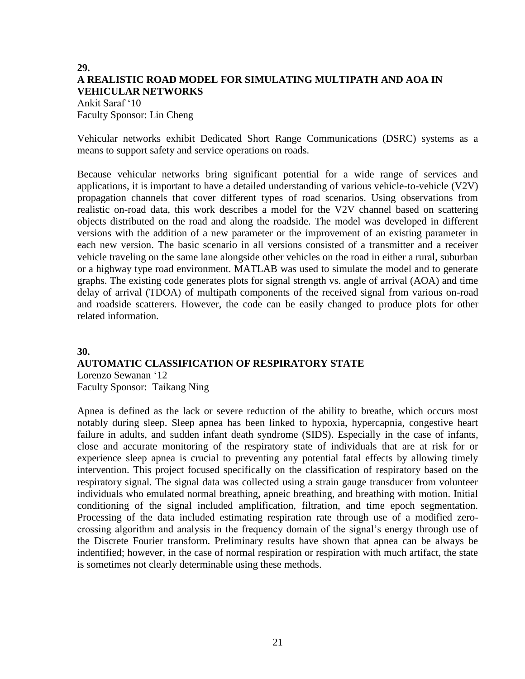## **29. A REALISTIC ROAD MODEL FOR SIMULATING MULTIPATH AND AOA IN VEHICULAR NETWORKS**

Ankit Saraf '10 Faculty Sponsor: Lin Cheng

Vehicular networks exhibit Dedicated Short Range Communications (DSRC) systems as a means to support safety and service operations on roads.

Because vehicular networks bring significant potential for a wide range of services and applications, it is important to have a detailed understanding of various vehicle-to-vehicle (V2V) propagation channels that cover different types of road scenarios. Using observations from realistic on-road data, this work describes a model for the V2V channel based on scattering objects distributed on the road and along the roadside. The model was developed in different versions with the addition of a new parameter or the improvement of an existing parameter in each new version. The basic scenario in all versions consisted of a transmitter and a receiver vehicle traveling on the same lane alongside other vehicles on the road in either a rural, suburban or a highway type road environment. MATLAB was used to simulate the model and to generate graphs. The existing code generates plots for signal strength vs. angle of arrival (AOA) and time delay of arrival (TDOA) of multipath components of the received signal from various on-road and roadside scatterers. However, the code can be easily changed to produce plots for other related information.

### **30. AUTOMATIC CLASSIFICATION OF RESPIRATORY STATE**  Lorenzo Sewanan '12

Faculty Sponsor: Taikang Ning

Apnea is defined as the lack or severe reduction of the ability to breathe, which occurs most notably during sleep. Sleep apnea has been linked to hypoxia, hypercapnia, congestive heart failure in adults, and sudden infant death syndrome (SIDS). Especially in the case of infants, close and accurate monitoring of the respiratory state of individuals that are at risk for or experience sleep apnea is crucial to preventing any potential fatal effects by allowing timely intervention. This project focused specifically on the classification of respiratory based on the respiratory signal. The signal data was collected using a strain gauge transducer from volunteer individuals who emulated normal breathing, apneic breathing, and breathing with motion. Initial conditioning of the signal included amplification, filtration, and time epoch segmentation. Processing of the data included estimating respiration rate through use of a modified zerocrossing algorithm and analysis in the frequency domain of the signal's energy through use of the Discrete Fourier transform. Preliminary results have shown that apnea can be always be indentified; however, in the case of normal respiration or respiration with much artifact, the state is sometimes not clearly determinable using these methods.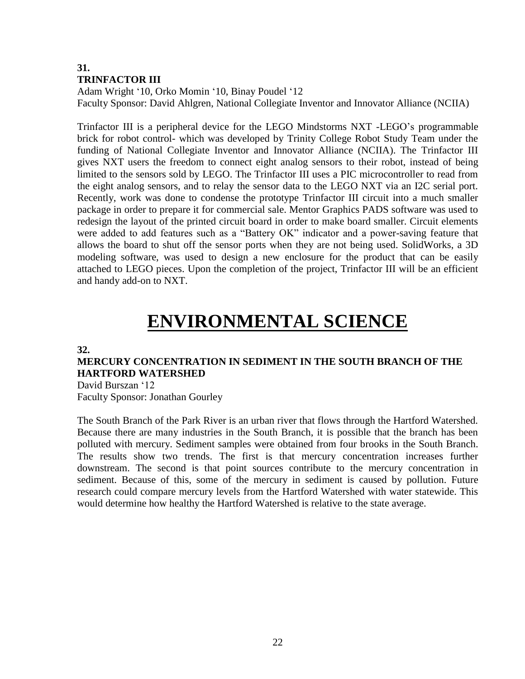## **31. TRINFACTOR III**

Adam Wright '10, Orko Momin '10, Binay Poudel '12 Faculty Sponsor: David Ahlgren, National Collegiate Inventor and Innovator Alliance (NCIIA)

Trinfactor III is a peripheral device for the LEGO Mindstorms NXT -LEGO's programmable brick for robot control- which was developed by Trinity College Robot Study Team under the funding of National Collegiate Inventor and Innovator Alliance (NCIIA). The Trinfactor III gives NXT users the freedom to connect eight analog sensors to their robot, instead of being limited to the sensors sold by LEGO. The Trinfactor III uses a PIC microcontroller to read from the eight analog sensors, and to relay the sensor data to the LEGO NXT via an I2C serial port. Recently, work was done to condense the prototype Trinfactor III circuit into a much smaller package in order to prepare it for commercial sale. Mentor Graphics PADS software was used to redesign the layout of the printed circuit board in order to make board smaller. Circuit elements were added to add features such as a "Battery OK" indicator and a power-saving feature that allows the board to shut off the sensor ports when they are not being used. SolidWorks, a 3D modeling software, was used to design a new enclosure for the product that can be easily attached to LEGO pieces. Upon the completion of the project, Trinfactor III will be an efficient and handy add-on to NXT.

## **ENVIRONMENTAL SCIENCE**

#### **32.**

## **MERCURY CONCENTRATION IN SEDIMENT IN THE SOUTH BRANCH OF THE HARTFORD WATERSHED**

David Burszan '12 Faculty Sponsor: Jonathan Gourley

The South Branch of the Park River is an urban river that flows through the Hartford Watershed. Because there are many industries in the South Branch, it is possible that the branch has been polluted with mercury. Sediment samples were obtained from four brooks in the South Branch. The results show two trends. The first is that mercury concentration increases further downstream. The second is that point sources contribute to the mercury concentration in sediment. Because of this, some of the mercury in sediment is caused by pollution. Future research could compare mercury levels from the Hartford Watershed with water statewide. This would determine how healthy the Hartford Watershed is relative to the state average.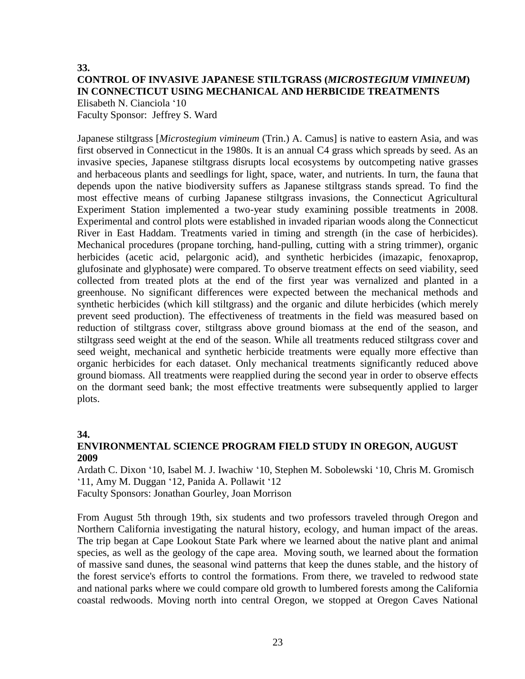### **33. CONTROL OF INVASIVE JAPANESE STILTGRASS (***MICROSTEGIUM VIMINEUM***) IN CONNECTICUT USING MECHANICAL AND HERBICIDE TREATMENTS**  Elisabeth N. Cianciola '10

Faculty Sponsor: Jeffrey S. Ward

Japanese stiltgrass [*Microstegium vimineum* (Trin.) A. Camus] is native to eastern Asia, and was first observed in Connecticut in the 1980s. It is an annual C4 grass which spreads by seed. As an invasive species, Japanese stiltgrass disrupts local ecosystems by outcompeting native grasses and herbaceous plants and seedlings for light, space, water, and nutrients. In turn, the fauna that depends upon the native biodiversity suffers as Japanese stiltgrass stands spread. To find the most effective means of curbing Japanese stiltgrass invasions, the Connecticut Agricultural Experiment Station implemented a two-year study examining possible treatments in 2008. Experimental and control plots were established in invaded riparian woods along the Connecticut River in East Haddam. Treatments varied in timing and strength (in the case of herbicides). Mechanical procedures (propane torching, hand-pulling, cutting with a string trimmer), organic herbicides (acetic acid, pelargonic acid), and synthetic herbicides (imazapic, fenoxaprop, glufosinate and glyphosate) were compared. To observe treatment effects on seed viability, seed collected from treated plots at the end of the first year was vernalized and planted in a greenhouse. No significant differences were expected between the mechanical methods and synthetic herbicides (which kill stiltgrass) and the organic and dilute herbicides (which merely prevent seed production). The effectiveness of treatments in the field was measured based on reduction of stiltgrass cover, stiltgrass above ground biomass at the end of the season, and stiltgrass seed weight at the end of the season. While all treatments reduced stiltgrass cover and seed weight, mechanical and synthetic herbicide treatments were equally more effective than organic herbicides for each dataset. Only mechanical treatments significantly reduced above ground biomass. All treatments were reapplied during the second year in order to observe effects on the dormant seed bank; the most effective treatments were subsequently applied to larger plots.

#### **34.**

### **ENVIRONMENTAL SCIENCE PROGRAM FIELD STUDY IN OREGON, AUGUST 2009**

Ardath C. Dixon '10, Isabel M. J. Iwachiw '10, Stephen M. Sobolewski '10, Chris M. Gromisch '11, Amy M. Duggan '12, Panida A. Pollawit '12 Faculty Sponsors: Jonathan Gourley, Joan Morrison

From August 5th through 19th, six students and two professors traveled through Oregon and Northern California investigating the natural history, ecology, and human impact of the areas. The trip began at Cape Lookout State Park where we learned about the native plant and animal species, as well as the geology of the cape area. Moving south, we learned about the formation of massive sand dunes, the seasonal wind patterns that keep the dunes stable, and the history of the forest service's efforts to control the formations. From there, we traveled to redwood state and national parks where we could compare old growth to lumbered forests among the California coastal redwoods. Moving north into central Oregon, we stopped at Oregon Caves National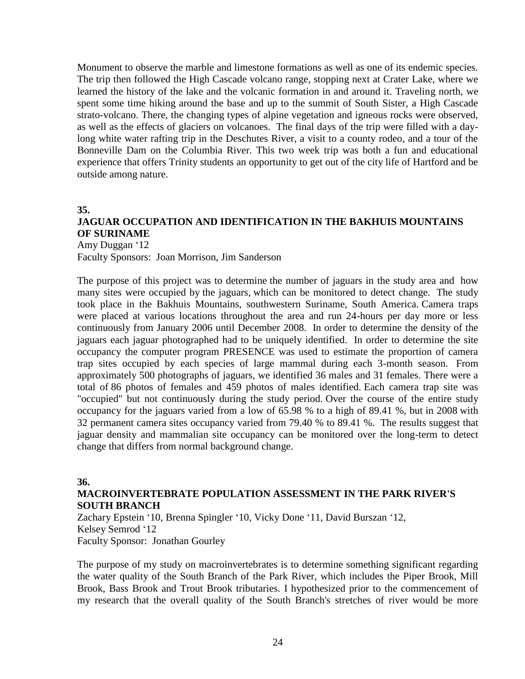Monument to observe the marble and limestone formations as well as one of its endemic species. The trip then followed the High Cascade volcano range, stopping next at Crater Lake, where we learned the history of the lake and the volcanic formation in and around it. Traveling north, we spent some time hiking around the base and up to the summit of South Sister, a High Cascade strato-volcano. There, the changing types of alpine vegetation and igneous rocks were observed, as well as the effects of glaciers on volcanoes. The final days of the trip were filled with a daylong white water rafting trip in the Deschutes River, a visit to a county rodeo, and a tour of the Bonneville Dam on the Columbia River. This two week trip was both a fun and educational experience that offers Trinity students an opportunity to get out of the city life of Hartford and be outside among nature.

**35.**

## **JAGUAR OCCUPATION AND IDENTIFICATION IN THE BAKHUIS MOUNTAINS OF SURINAME**

Amy Duggan '12 Faculty Sponsors: Joan Morrison, Jim Sanderson

The purpose of this project was to determine the number of jaguars in the study area and how many sites were occupied by the jaguars, which can be monitored to detect change. The study took place in the Bakhuis Mountains, southwestern Suriname, South America. Camera traps were placed at various locations throughout the area and run 24-hours per day more or less continuously from January 2006 until December 2008. In order to determine the density of the jaguars each jaguar photographed had to be uniquely identified. In order to determine the site occupancy the computer program PRESENCE was used to estimate the proportion of camera trap sites occupied by each species of large mammal during each 3-month season. From approximately 500 photographs of jaguars, we identified 36 males and 31 females. There were a total of 86 photos of females and 459 photos of males identified. Each camera trap site was "occupied" but not continuously during the study period. Over the course of the entire study occupancy for the jaguars varied from a low of 65.98 % to a high of 89.41 %, but in 2008 with 32 permanent camera sites occupancy varied from 79.40 % to 89.41 %. The results suggest that jaguar density and mammalian site occupancy can be monitored over the long-term to detect change that differs from normal background change.

**36.**

### **MACROINVERTEBRATE POPULATION ASSESSMENT IN THE PARK RIVER'S SOUTH BRANCH**

Zachary Epstein '10, Brenna Spingler '10, Vicky Done '11, David Burszan '12, Kelsey Semrod '12 Faculty Sponsor: Jonathan Gourley

The purpose of my study on macroinvertebrates is to determine something significant regarding the water quality of the South Branch of the Park River, which includes the Piper Brook, Mill Brook, Bass Brook and Trout Brook tributaries. I hypothesized prior to the commencement of my research that the overall quality of the South Branch's stretches of river would be more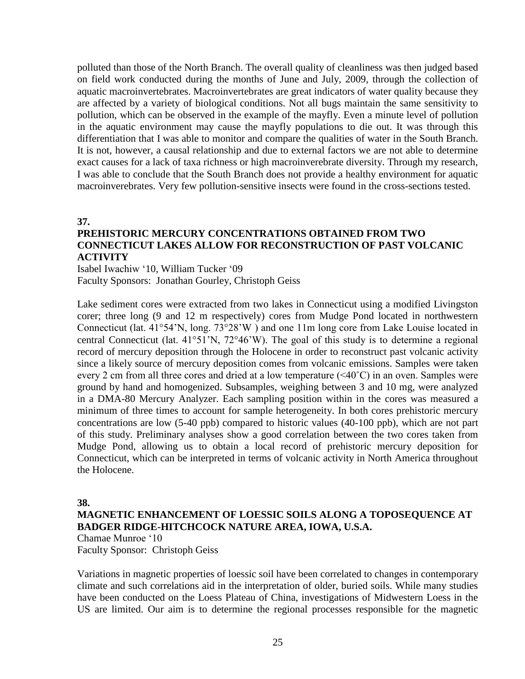polluted than those of the North Branch. The overall quality of cleanliness was then judged based on field work conducted during the months of June and July, 2009, through the collection of aquatic macroinvertebrates. Macroinvertebrates are great indicators of water quality because they are affected by a variety of biological conditions. Not all bugs maintain the same sensitivity to pollution, which can be observed in the example of the mayfly. Even a minute level of pollution in the aquatic environment may cause the mayfly populations to die out. It was through this differentiation that I was able to monitor and compare the qualities of water in the South Branch. It is not, however, a causal relationship and due to external factors we are not able to determine exact causes for a lack of taxa richness or high macroinverebrate diversity. Through my research, I was able to conclude that the South Branch does not provide a healthy environment for aquatic macroinverebrates. Very few pollution-sensitive insects were found in the cross-sections tested.

**37.**

## **PREHISTORIC MERCURY CONCENTRATIONS OBTAINED FROM TWO CONNECTICUT LAKES ALLOW FOR RECONSTRUCTION OF PAST VOLCANIC ACTIVITY**

Isabel Iwachiw '10, William Tucker '09 Faculty Sponsors: Jonathan Gourley, Christoph Geiss

Lake sediment cores were extracted from two lakes in Connecticut using a modified Livingston corer; three long (9 and 12 m respectively) cores from Mudge Pond located in northwestern Connecticut (lat. 41°54'N, long. 73°28'W ) and one 11m long core from Lake Louise located in central Connecticut (lat. 41°51'N, 72°46'W). The goal of this study is to determine a regional record of mercury deposition through the Holocene in order to reconstruct past volcanic activity since a likely source of mercury deposition comes from volcanic emissions. Samples were taken every 2 cm from all three cores and dried at a low temperature (<40˚C) in an oven. Samples were ground by hand and homogenized. Subsamples, weighing between 3 and 10 mg, were analyzed in a DMA-80 Mercury Analyzer. Each sampling position within in the cores was measured a minimum of three times to account for sample heterogeneity. In both cores prehistoric mercury concentrations are low (5-40 ppb) compared to historic values (40-100 ppb), which are not part of this study. Preliminary analyses show a good correlation between the two cores taken from Mudge Pond, allowing us to obtain a local record of prehistoric mercury deposition for Connecticut, which can be interpreted in terms of volcanic activity in North America throughout the Holocene.

#### **38.**

## **MAGNETIC ENHANCEMENT OF LOESSIC SOILS ALONG A TOPOSEQUENCE AT BADGER RIDGE-HITCHCOCK NATURE AREA, IOWA, U.S.A.**

Chamae Munroe '10 Faculty Sponsor: Christoph Geiss

Variations in magnetic properties of loessic soil have been correlated to changes in contemporary climate and such correlations aid in the interpretation of older, buried soils. While many studies have been conducted on the Loess Plateau of China, investigations of Midwestern Loess in the US are limited. Our aim is to determine the regional processes responsible for the magnetic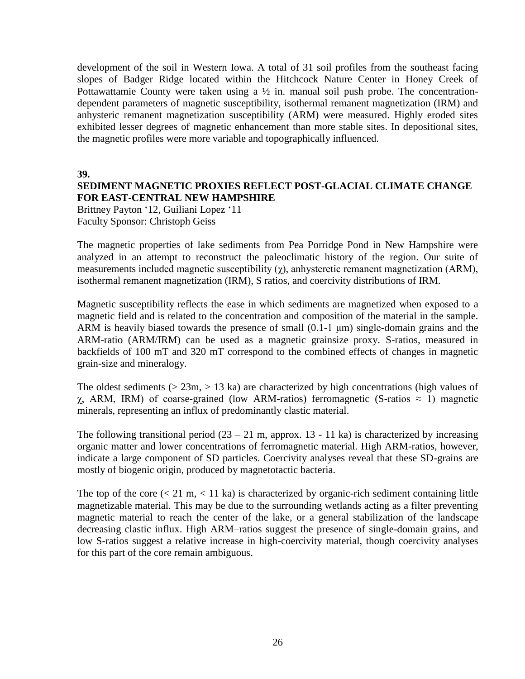development of the soil in Western Iowa. A total of 31 soil profiles from the southeast facing slopes of Badger Ridge located within the Hitchcock Nature Center in Honey Creek of Pottawattamie County were taken using a  $\frac{1}{2}$  in. manual soil push probe. The concentrationdependent parameters of magnetic susceptibility, isothermal remanent magnetization (IRM) and anhysteric remanent magnetization susceptibility (ARM) were measured. Highly eroded sites exhibited lesser degrees of magnetic enhancement than more stable sites. In depositional sites, the magnetic profiles were more variable and topographically influenced.

**39.**

## **SEDIMENT MAGNETIC PROXIES REFLECT POST-GLACIAL CLIMATE CHANGE FOR EAST-CENTRAL NEW HAMPSHIRE**

Brittney Payton '12, Guiliani Lopez '11 Faculty Sponsor: Christoph Geiss

The magnetic properties of lake sediments from Pea Porridge Pond in New Hampshire were analyzed in an attempt to reconstruct the paleoclimatic history of the region. Our suite of measurements included magnetic susceptibility  $(\gamma)$ , anhysteretic remanent magnetization (ARM), isothermal remanent magnetization (IRM), S ratios, and coercivity distributions of IRM.

Magnetic susceptibility reflects the ease in which sediments are magnetized when exposed to a magnetic field and is related to the concentration and composition of the material in the sample. ARM is heavily biased towards the presence of small (0.1-1 μm) single-domain grains and the ARM-ratio (ARM/IRM) can be used as a magnetic grainsize proxy. S-ratios, measured in backfields of 100 mT and 320 mT correspond to the combined effects of changes in magnetic grain-size and mineralogy.

The oldest sediments ( $> 23$ m,  $> 13$  ka) are characterized by high concentrations (high values of χ, ARM, IRM) of coarse-grained (low ARM-ratios) ferromagnetic (S-ratios ≈ 1) magnetic minerals, representing an influx of predominantly clastic material.

The following transitional period  $(23 - 21 \text{ m}, \text{approx. } 13 - 11 \text{ ka})$  is characterized by increasing organic matter and lower concentrations of ferromagnetic material. High ARM-ratios, however, indicate a large component of SD particles. Coercivity analyses reveal that these SD-grains are mostly of biogenic origin, produced by magnetotactic bacteria.

The top of the core  $(< 21 \text{ m}, < 11 \text{ ka})$  is characterized by organic-rich sediment containing little magnetizable material. This may be due to the surrounding wetlands acting as a filter preventing magnetic material to reach the center of the lake, or a general stabilization of the landscape decreasing clastic influx. High ARM–ratios suggest the presence of single-domain grains, and low S-ratios suggest a relative increase in high-coercivity material, though coercivity analyses for this part of the core remain ambiguous.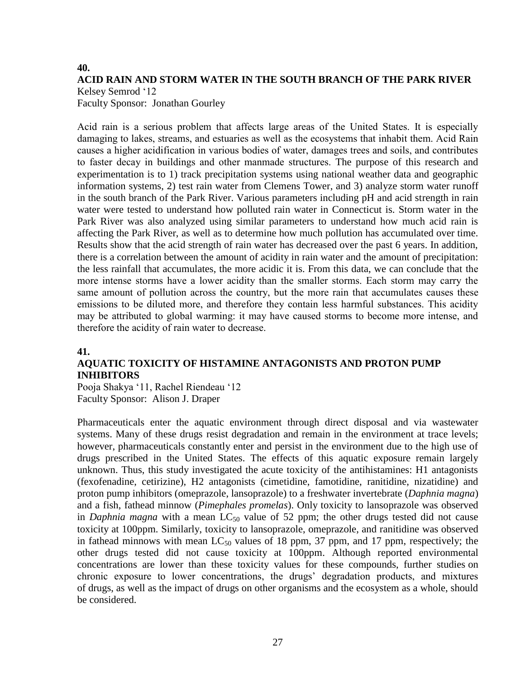#### **40.**

**ACID RAIN AND STORM WATER IN THE SOUTH BRANCH OF THE PARK RIVER** Kelsey Semrod '12

Faculty Sponsor: Jonathan Gourley

Acid rain is a serious problem that affects large areas of the United States. It is especially damaging to lakes, streams, and estuaries as well as the ecosystems that inhabit them. Acid Rain causes a higher acidification in various bodies of water, damages trees and soils, and contributes to faster decay in buildings and other manmade structures. The purpose of this research and experimentation is to 1) track precipitation systems using national weather data and geographic information systems, 2) test rain water from Clemens Tower, and 3) analyze storm water runoff in the south branch of the Park River. Various parameters including pH and acid strength in rain water were tested to understand how polluted rain water in Connecticut is. Storm water in the Park River was also analyzed using similar parameters to understand how much acid rain is affecting the Park River, as well as to determine how much pollution has accumulated over time. Results show that the acid strength of rain water has decreased over the past 6 years. In addition, there is a correlation between the amount of acidity in rain water and the amount of precipitation: the less rainfall that accumulates, the more acidic it is. From this data, we can conclude that the more intense storms have a lower acidity than the smaller storms. Each storm may carry the same amount of pollution across the country, but the more rain that accumulates causes these emissions to be diluted more, and therefore they contain less harmful substances. This acidity may be attributed to global warming: it may have caused storms to become more intense, and therefore the acidity of rain water to decrease.

#### **41.**

## **AQUATIC TOXICITY OF HISTAMINE ANTAGONISTS AND PROTON PUMP INHIBITORS**

Pooja Shakya '11, Rachel Riendeau '12 Faculty Sponsor: Alison J. Draper

Pharmaceuticals enter the aquatic environment through direct disposal and via wastewater systems. Many of these drugs resist degradation and remain in the environment at trace levels; however, pharmaceuticals constantly enter and persist in the environment due to the high use of drugs prescribed in the United States. The effects of this aquatic exposure remain largely unknown. Thus, this study investigated the acute toxicity of the antihistamines: H1 antagonists (fexofenadine, cetirizine), H2 antagonists (cimetidine, famotidine, ranitidine, nizatidine) and proton pump inhibitors (omeprazole, lansoprazole) to a freshwater invertebrate (*Daphnia magna*) and a fish, fathead minnow (*Pimephales promelas*). Only toxicity to lansoprazole was observed in *Daphnia magna* with a mean  $LC_{50}$  value of 52 ppm; the other drugs tested did not cause toxicity at 100ppm. Similarly, toxicity to lansoprazole, omeprazole, and ranitidine was observed in fathead minnows with mean  $LC_{50}$  values of 18 ppm, 37 ppm, and 17 ppm, respectively; the other drugs tested did not cause toxicity at 100ppm. Although reported environmental concentrations are lower than these toxicity values for these compounds, further studies on chronic exposure to lower concentrations, the drugs' degradation products, and mixtures of drugs, as well as the impact of drugs on other organisms and the ecosystem as a whole, should be considered.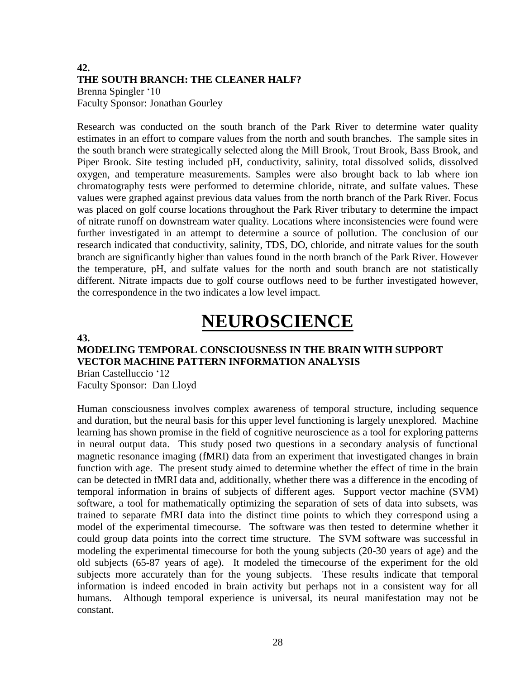## **42. THE SOUTH BRANCH: THE CLEANER HALF?** Brenna Spingler '10 Faculty Sponsor: Jonathan Gourley

Research was conducted on the south branch of the Park River to determine water quality estimates in an effort to compare values from the north and south branches. The sample sites in the south branch were strategically selected along the Mill Brook, Trout Brook, Bass Brook, and Piper Brook. Site testing included pH, conductivity, salinity, total dissolved solids, dissolved oxygen, and temperature measurements. Samples were also brought back to lab where ion chromatography tests were performed to determine chloride, nitrate, and sulfate values. These values were graphed against previous data values from the north branch of the Park River. Focus was placed on golf course locations throughout the Park River tributary to determine the impact of nitrate runoff on downstream water quality. Locations where inconsistencies were found were further investigated in an attempt to determine a source of pollution. The conclusion of our research indicated that conductivity, salinity, TDS, DO, chloride, and nitrate values for the south branch are significantly higher than values found in the north branch of the Park River. However the temperature, pH, and sulfate values for the north and south branch are not statistically different. Nitrate impacts due to golf course outflows need to be further investigated however, the correspondence in the two indicates a low level impact.

# **NEUROSCIENCE**

**43.**

## **MODELING TEMPORAL CONSCIOUSNESS IN THE BRAIN WITH SUPPORT VECTOR MACHINE PATTERN INFORMATION ANALYSIS**

Brian Castelluccio '12 Faculty Sponsor: Dan Lloyd

Human consciousness involves complex awareness of temporal structure, including sequence and duration, but the neural basis for this upper level functioning is largely unexplored. Machine learning has shown promise in the field of cognitive neuroscience as a tool for exploring patterns in neural output data. This study posed two questions in a secondary analysis of functional magnetic resonance imaging (fMRI) data from an experiment that investigated changes in brain function with age. The present study aimed to determine whether the effect of time in the brain can be detected in fMRI data and, additionally, whether there was a difference in the encoding of temporal information in brains of subjects of different ages. Support vector machine (SVM) software, a tool for mathematically optimizing the separation of sets of data into subsets, was trained to separate fMRI data into the distinct time points to which they correspond using a model of the experimental timecourse. The software was then tested to determine whether it could group data points into the correct time structure. The SVM software was successful in modeling the experimental timecourse for both the young subjects (20-30 years of age) and the old subjects (65-87 years of age). It modeled the timecourse of the experiment for the old subjects more accurately than for the young subjects. These results indicate that temporal information is indeed encoded in brain activity but perhaps not in a consistent way for all humans. Although temporal experience is universal, its neural manifestation may not be constant.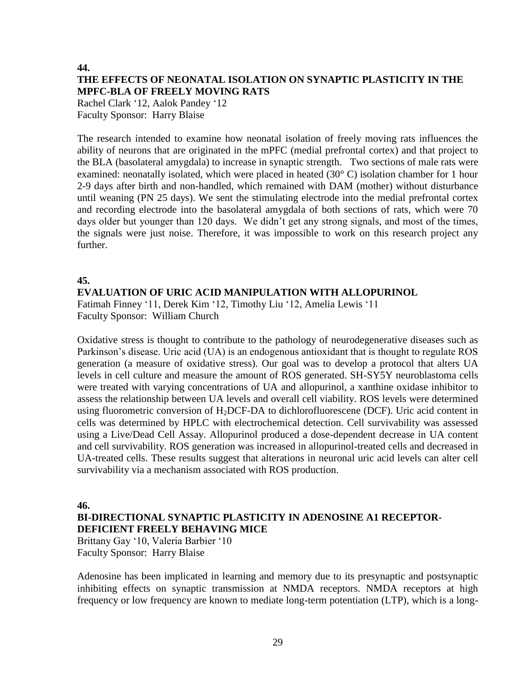## **44. THE EFFECTS OF NEONATAL ISOLATION ON SYNAPTIC PLASTICITY IN THE MPFC-BLA OF FREELY MOVING RATS**

Rachel Clark '12, Aalok Pandey '12 Faculty Sponsor: Harry Blaise

The research intended to examine how neonatal isolation of freely moving rats influences the ability of neurons that are originated in the mPFC (medial prefrontal cortex) and that project to the BLA (basolateral amygdala) to increase in synaptic strength. Two sections of male rats were examined: neonatally isolated, which were placed in heated (30° C) isolation chamber for 1 hour 2-9 days after birth and non-handled, which remained with DAM (mother) without disturbance until weaning (PN 25 days). We sent the stimulating electrode into the medial prefrontal cortex and recording electrode into the basolateral amygdala of both sections of rats, which were 70 days older but younger than 120 days. We didn't get any strong signals, and most of the times, the signals were just noise. Therefore, it was impossible to work on this research project any further.

## **45.**

## **EVALUATION OF URIC ACID MANIPULATION WITH ALLOPURINOL**

Fatimah Finney '11, Derek Kim '12, Timothy Liu '12, Amelia Lewis '11 Faculty Sponsor: William Church

Oxidative stress is thought to contribute to the pathology of neurodegenerative diseases such as Parkinson's disease. Uric acid (UA) is an endogenous antioxidant that is thought to regulate ROS generation (a measure of oxidative stress). Our goal was to develop a protocol that alters UA levels in cell culture and measure the amount of ROS generated. SH-SY5Y neuroblastoma cells were treated with varying concentrations of UA and allopurinol, a xanthine oxidase inhibitor to assess the relationship between UA levels and overall cell viability. ROS levels were determined using fluorometric conversion of  $H_2$ DCF-DA to dichlorofluorescene (DCF). Uric acid content in cells was determined by HPLC with electrochemical detection. Cell survivability was assessed using a Live/Dead Cell Assay. Allopurinol produced a dose-dependent decrease in UA content and cell survivability. ROS generation was increased in allopurinol-treated cells and decreased in UA-treated cells. These results suggest that alterations in neuronal uric acid levels can alter cell survivability via a mechanism associated with ROS production.

## **46.**

## **BI-DIRECTIONAL SYNAPTIC PLASTICITY IN ADENOSINE A1 RECEPTOR-DEFICIENT FREELY BEHAVING MICE**

Brittany Gay '10, Valeria Barbier '10 Faculty Sponsor: Harry Blaise

Adenosine has been implicated in learning and memory due to its presynaptic and postsynaptic inhibiting effects on synaptic transmission at NMDA receptors. NMDA receptors at high frequency or low frequency are known to mediate long-term potentiation (LTP), which is a long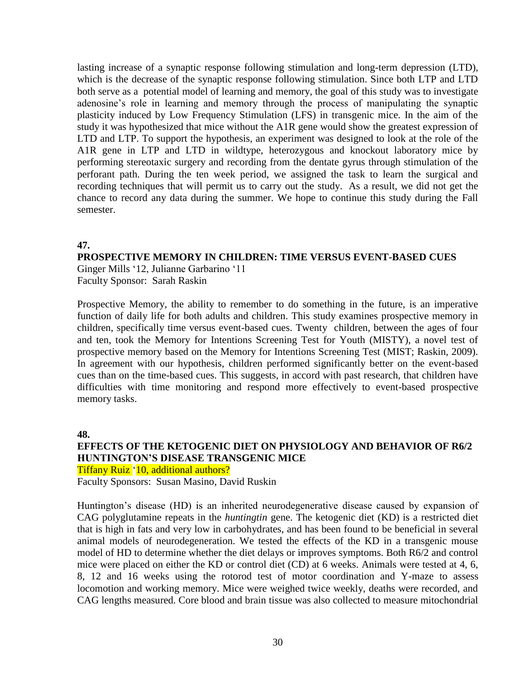lasting increase of a synaptic response following stimulation and long-term depression (LTD), which is the decrease of the synaptic response following stimulation. Since both LTP and LTD both serve as a potential model of learning and memory, the goal of this study was to investigate adenosine's role in learning and memory through the process of manipulating the synaptic plasticity induced by Low Frequency Stimulation (LFS) in transgenic mice. In the aim of the study it was hypothesized that mice without the A1R gene would show the greatest expression of LTD and LTP. To support the hypothesis, an experiment was designed to look at the role of the A1R gene in LTP and LTD in wildtype, heterozygous and knockout laboratory mice by performing stereotaxic surgery and recording from the dentate gyrus through stimulation of the perforant path. During the ten week period, we assigned the task to learn the surgical and recording techniques that will permit us to carry out the study. As a result, we did not get the chance to record any data during the summer. We hope to continue this study during the Fall semester.

#### **47.**

#### **PROSPECTIVE MEMORY IN CHILDREN: TIME VERSUS EVENT-BASED CUES**

Ginger Mills '12, Julianne Garbarino '11 Faculty Sponsor: Sarah Raskin

Prospective Memory, the ability to remember to do something in the future, is an imperative function of daily life for both adults and children. This study examines prospective memory in children, specifically time versus event-based cues. Twenty children, between the ages of four and ten, took the Memory for Intentions Screening Test for Youth (MISTY), a novel test of prospective memory based on the Memory for Intentions Screening Test (MIST; Raskin, 2009). In agreement with our hypothesis, children performed significantly better on the event-based cues than on the time-based cues. This suggests, in accord with past research, that children have difficulties with time monitoring and respond more effectively to event-based prospective memory tasks.

## **48.**

## **EFFECTS OF THE KETOGENIC DIET ON PHYSIOLOGY AND BEHAVIOR OF R6/2 HUNTINGTON'S DISEASE TRANSGENIC MICE**

Tiffany Ruiz '10, additional authors?

Faculty Sponsors: Susan Masino, David Ruskin

Huntington's disease (HD) is an inherited neurodegenerative disease caused by expansion of CAG polyglutamine repeats in the *huntingtin* gene. The ketogenic diet (KD) is a restricted diet that is high in fats and very low in carbohydrates, and has been found to be beneficial in several animal models of neurodegeneration. We tested the effects of the KD in a transgenic mouse model of HD to determine whether the diet delays or improves symptoms. Both R6/2 and control mice were placed on either the KD or control diet (CD) at 6 weeks. Animals were tested at 4, 6, 8, 12 and 16 weeks using the rotorod test of motor coordination and Y-maze to assess locomotion and working memory. Mice were weighed twice weekly, deaths were recorded, and CAG lengths measured. Core blood and brain tissue was also collected to measure mitochondrial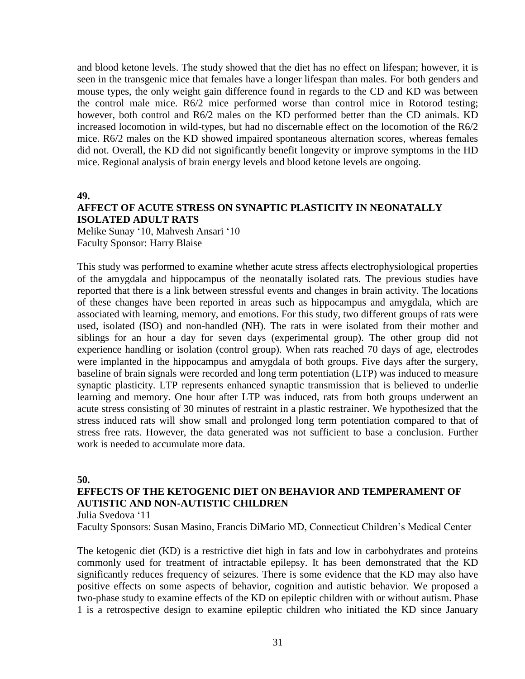and blood ketone levels. The study showed that the diet has no effect on lifespan; however, it is seen in the transgenic mice that females have a longer lifespan than males. For both genders and mouse types, the only weight gain difference found in regards to the CD and KD was between the control male mice. R6/2 mice performed worse than control mice in Rotorod testing; however, both control and R6/2 males on the KD performed better than the CD animals. KD increased locomotion in wild-types, but had no discernable effect on the locomotion of the R6/2 mice. R6/2 males on the KD showed impaired spontaneous alternation scores, whereas females did not. Overall, the KD did not significantly benefit longevity or improve symptoms in the HD mice. Regional analysis of brain energy levels and blood ketone levels are ongoing.

#### **49.**

### **AFFECT OF ACUTE STRESS ON SYNAPTIC PLASTICITY IN NEONATALLY ISOLATED ADULT RATS**

Melike Sunay '10, Mahvesh Ansari '10 Faculty Sponsor: Harry Blaise

This study was performed to examine whether acute stress affects electrophysiological properties of the amygdala and hippocampus of the neonatally isolated rats. The previous studies have reported that there is a link between stressful events and changes in brain activity. The locations of these changes have been reported in areas such as hippocampus and amygdala, which are associated with learning, memory, and emotions. For this study, two different groups of rats were used, isolated (ISO) and non-handled (NH). The rats in were isolated from their mother and siblings for an hour a day for seven days (experimental group). The other group did not experience handling or isolation (control group). When rats reached 70 days of age, electrodes were implanted in the hippocampus and amygdala of both groups. Five days after the surgery, baseline of brain signals were recorded and long term potentiation (LTP) was induced to measure synaptic plasticity. LTP represents enhanced synaptic transmission that is believed to underlie learning and memory. One hour after LTP was induced, rats from both groups underwent an acute stress consisting of 30 minutes of restraint in a plastic restrainer. We hypothesized that the stress induced rats will show small and prolonged long term potentiation compared to that of stress free rats. However, the data generated was not sufficient to base a conclusion. Further work is needed to accumulate more data.

#### **50.**

## **EFFECTS OF THE KETOGENIC DIET ON BEHAVIOR AND TEMPERAMENT OF AUTISTIC AND NON-AUTISTIC CHILDREN**

Julia Svedova '11

Faculty Sponsors: Susan Masino, Francis DiMario MD, Connecticut Children's Medical Center

The ketogenic diet (KD) is a restrictive diet high in fats and low in carbohydrates and proteins commonly used for treatment of intractable epilepsy. It has been demonstrated that the KD significantly reduces frequency of seizures. There is some evidence that the KD may also have positive effects on some aspects of behavior, cognition and autistic behavior. We proposed a two-phase study to examine effects of the KD on epileptic children with or without autism. Phase 1 is a retrospective design to examine epileptic children who initiated the KD since January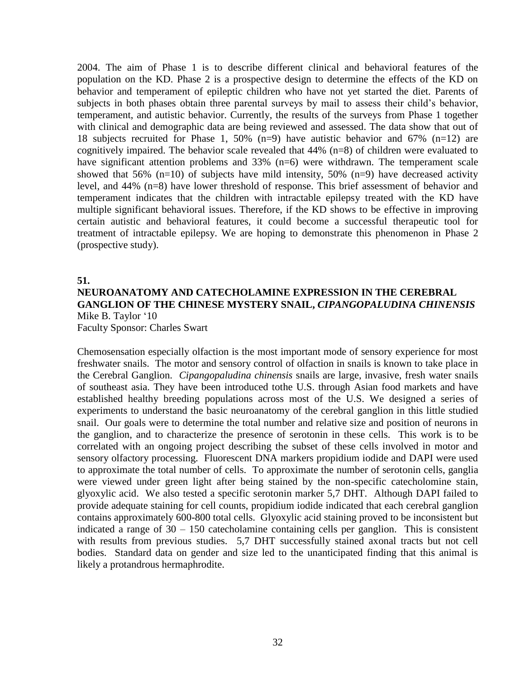2004. The aim of Phase 1 is to describe different clinical and behavioral features of the population on the KD. Phase 2 is a prospective design to determine the effects of the KD on behavior and temperament of epileptic children who have not yet started the diet. Parents of subjects in both phases obtain three parental surveys by mail to assess their child's behavior, temperament, and autistic behavior. Currently, the results of the surveys from Phase 1 together with clinical and demographic data are being reviewed and assessed. The data show that out of 18 subjects recruited for Phase 1, 50% (n=9) have autistic behavior and 67% (n=12) are cognitively impaired. The behavior scale revealed that 44% (n=8) of children were evaluated to have significant attention problems and 33% (n=6) were withdrawn. The temperament scale showed that 56%  $(n=10)$  of subjects have mild intensity, 50%  $(n=9)$  have decreased activity level, and 44% (n=8) have lower threshold of response. This brief assessment of behavior and temperament indicates that the children with intractable epilepsy treated with the KD have multiple significant behavioral issues. Therefore, if the KD shows to be effective in improving certain autistic and behavioral features, it could become a successful therapeutic tool for treatment of intractable epilepsy. We are hoping to demonstrate this phenomenon in Phase 2 (prospective study).

#### **51.**

### **NEUROANATOMY AND CATECHOLAMINE EXPRESSION IN THE CEREBRAL GANGLION OF THE CHINESE MYSTERY SNAIL,** *CIPANGOPALUDINA CHINENSIS* Mike B. Taylor '10 Faculty Sponsor: Charles Swart

Chemosensation especially olfaction is the most important mode of sensory experience for most freshwater snails. The motor and sensory control of olfaction in snails is known to take place in the Cerebral Ganglion. *Cipangopaludina chinensis* snails are large, invasive, fresh water snails of southeast asia. They have been introduced tothe U.S. through Asian food markets and have established healthy breeding populations across most of the U.S. We designed a series of experiments to understand the basic neuroanatomy of the cerebral ganglion in this little studied snail. Our goals were to determine the total number and relative size and position of neurons in the ganglion, and to characterize the presence of serotonin in these cells. This work is to be correlated with an ongoing project describing the subset of these cells involved in motor and sensory olfactory processing. Fluorescent DNA markers propidium iodide and DAPI were used to approximate the total number of cells. To approximate the number of serotonin cells, ganglia were viewed under green light after being stained by the non-specific catecholomine stain, glyoxylic acid. We also tested a specific serotonin marker 5,7 DHT. Although DAPI failed to provide adequate staining for cell counts, propidium iodide indicated that each cerebral ganglion contains approximately 600-800 total cells. Glyoxylic acid staining proved to be inconsistent but indicated a range of 30 – 150 catecholamine containing cells per ganglion. This is consistent with results from previous studies. 5,7 DHT successfully stained axonal tracts but not cell bodies. Standard data on gender and size led to the unanticipated finding that this animal is likely a protandrous hermaphrodite.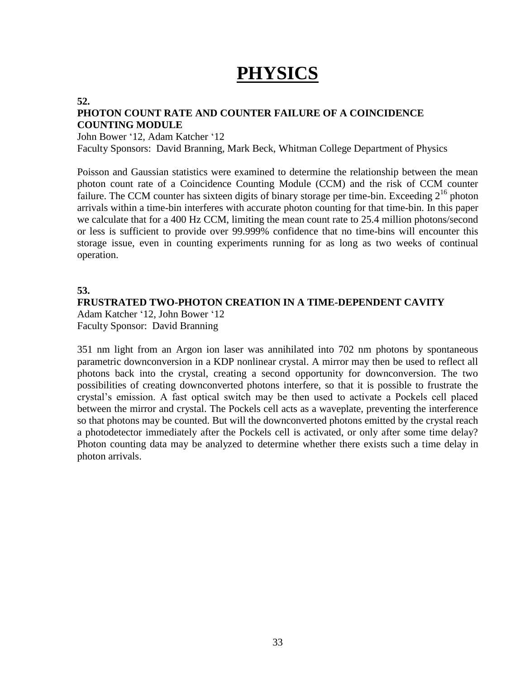## **PHYSICS**

#### **52.**

## **PHOTON COUNT RATE AND COUNTER FAILURE OF A COINCIDENCE COUNTING MODULE**

John Bower '12, Adam Katcher '12

Faculty Sponsors: David Branning, Mark Beck, Whitman College Department of Physics

Poisson and Gaussian statistics were examined to determine the relationship between the mean photon count rate of a Coincidence Counting Module (CCM) and the risk of CCM counter failure. The CCM counter has sixteen digits of binary storage per time-bin. Exceeding  $2^{16}$  photon arrivals within a time-bin interferes with accurate photon counting for that time-bin. In this paper we calculate that for a 400 Hz CCM, limiting the mean count rate to 25.4 million photons/second or less is sufficient to provide over 99.999% confidence that no time-bins will encounter this storage issue, even in counting experiments running for as long as two weeks of continual operation.

#### **53.**

#### **FRUSTRATED TWO-PHOTON CREATION IN A TIME-DEPENDENT CAVITY**

Adam Katcher '12, John Bower '12 Faculty Sponsor: David Branning

351 nm light from an Argon ion laser was annihilated into 702 nm photons by spontaneous parametric downconversion in a KDP nonlinear crystal. A mirror may then be used to reflect all photons back into the crystal, creating a second opportunity for downconversion. The two possibilities of creating downconverted photons interfere, so that it is possible to frustrate the crystal's emission. A fast optical switch may be then used to activate a Pockels cell placed between the mirror and crystal. The Pockels cell acts as a waveplate, preventing the interference so that photons may be counted. But will the downconverted photons emitted by the crystal reach a photodetector immediately after the Pockels cell is activated, or only after some time delay? Photon counting data may be analyzed to determine whether there exists such a time delay in photon arrivals.